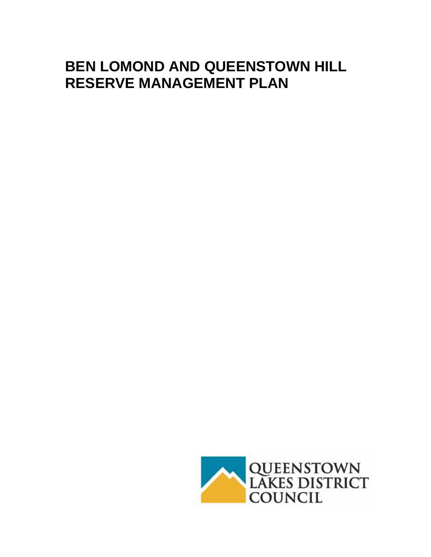# **BEN LOMOND AND QUEENSTOWN HILL RESERVE MANAGEMENT PLAN**

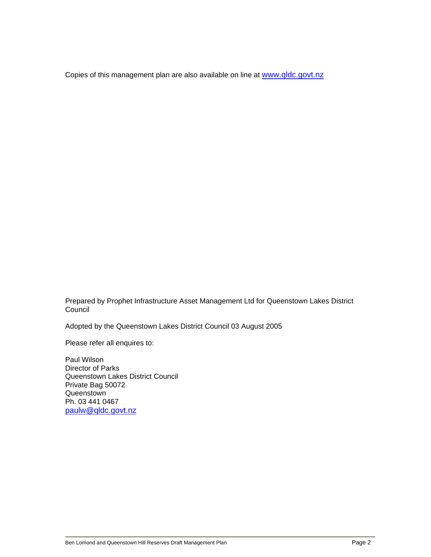Copies of this management plan are also available on line at www.qldc.govt.nz

Prepared by Prophet Infrastructure Asset Management Ltd for Queenstown Lakes District **Council** 

Adopted by the Queenstown Lakes District Council 03 August 2005

Please refer all enquires to:

Paul Wilson Director of Parks Queenstown Lakes District Council Private Bag 50072 Queenstown Ph. 03 441 0467 paulw@qldc.govt.nz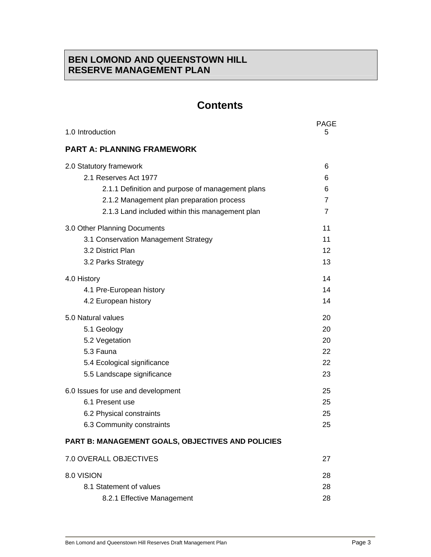## **BEN LOMOND AND QUEENSTOWN HILL RESERVE MANAGEMENT PLAN**

## **Contents**

| 1.0 Introduction                                  | <b>PAGE</b><br>5 |
|---------------------------------------------------|------------------|
| <b>PART A: PLANNING FRAMEWORK</b>                 |                  |
| 2.0 Statutory framework                           | 6                |
| 2.1 Reserves Act 1977                             | 6                |
| 2.1.1 Definition and purpose of management plans  | 6                |
| 2.1.2 Management plan preparation process         | 7                |
| 2.1.3 Land included within this management plan   | 7                |
| 3.0 Other Planning Documents                      | 11               |
| 3.1 Conservation Management Strategy              | 11               |
| 3.2 District Plan                                 | 12               |
| 3.2 Parks Strategy                                | 13               |
| 4.0 History                                       | 14               |
| 4.1 Pre-European history                          | 14               |
| 4.2 European history                              | 14               |
| 5.0 Natural values                                | 20               |
| 5.1 Geology                                       | 20               |
| 5.2 Vegetation                                    | 20               |
| 5.3 Fauna                                         | 22               |
| 5.4 Ecological significance                       | 22               |
| 5.5 Landscape significance                        | 23               |
| 6.0 Issues for use and development                | 25               |
| 6.1 Present use                                   | 25               |
| 6.2 Physical constraints                          | 25               |
| 6.3 Community constraints                         | 25               |
| PART B: MANAGEMENT GOALS, OBJECTIVES AND POLICIES |                  |
| <b>7.0 OVERALL OBJECTIVES</b>                     | 27               |
| 8.0 VISION                                        | 28               |
| 8.1 Statement of values                           | 28               |
| 8.2.1 Effective Management                        | 28               |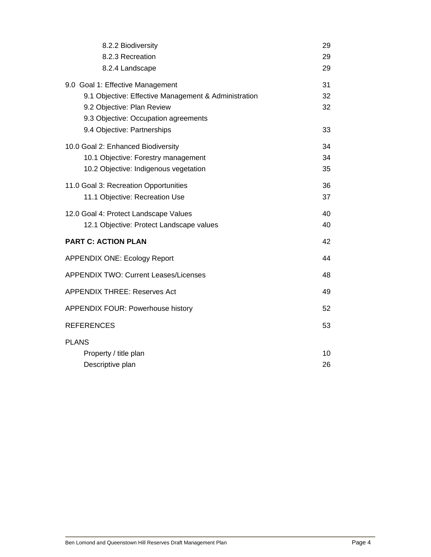| 8.2.2 Biodiversity<br>8.2.3 Recreation<br>8.2.4 Landscape                                                                                                                                     | 29<br>29<br>29       |
|-----------------------------------------------------------------------------------------------------------------------------------------------------------------------------------------------|----------------------|
| 9.0 Goal 1: Effective Management<br>9.1 Objective: Effective Management & Administration<br>9.2 Objective: Plan Review<br>9.3 Objective: Occupation agreements<br>9.4 Objective: Partnerships | 31<br>32<br>32<br>33 |
| 10.0 Goal 2: Enhanced Biodiversity<br>10.1 Objective: Forestry management<br>10.2 Objective: Indigenous vegetation                                                                            | 34<br>34<br>35       |
| 11.0 Goal 3: Recreation Opportunities<br>11.1 Objective: Recreation Use                                                                                                                       | 36<br>37             |
| 12.0 Goal 4: Protect Landscape Values<br>12.1 Objective: Protect Landscape values                                                                                                             | 40<br>40             |
| <b>PART C: ACTION PLAN</b>                                                                                                                                                                    | 42                   |
| <b>APPENDIX ONE: Ecology Report</b>                                                                                                                                                           | 44                   |
| <b>APPENDIX TWO: Current Leases/Licenses</b>                                                                                                                                                  | 48                   |
| <b>APPENDIX THREE: Reserves Act</b>                                                                                                                                                           | 49                   |
| <b>APPENDIX FOUR: Powerhouse history</b>                                                                                                                                                      | 52                   |
| <b>REFERENCES</b>                                                                                                                                                                             | 53                   |
| <b>PLANS</b><br>Property / title plan                                                                                                                                                         | 10                   |
| Descriptive plan                                                                                                                                                                              | 26                   |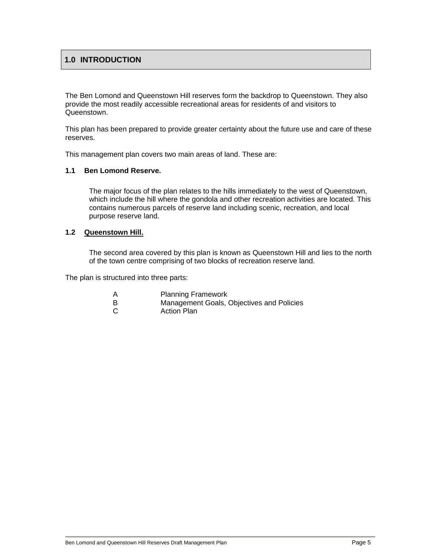## **1.0 INTRODUCTION**

The Ben Lomond and Queenstown Hill reserves form the backdrop to Queenstown. They also provide the most readily accessible recreational areas for residents of and visitors to Queenstown.

This plan has been prepared to provide greater certainty about the future use and care of these reserves.

This management plan covers two main areas of land. These are:

#### **1.1 Ben Lomond Reserve.**

The major focus of the plan relates to the hills immediately to the west of Queenstown, which include the hill where the gondola and other recreation activities are located. This contains numerous parcels of reserve land including scenic, recreation, and local purpose reserve land.

#### **1.2 Queenstown Hill.**

The second area covered by this plan is known as Queenstown Hill and lies to the north of the town centre comprising of two blocks of recreation reserve land.

The plan is structured into three parts:

| Α | <b>Planning Framework</b>                 |
|---|-------------------------------------------|
| B | Management Goals, Objectives and Policies |
| С | <b>Action Plan</b>                        |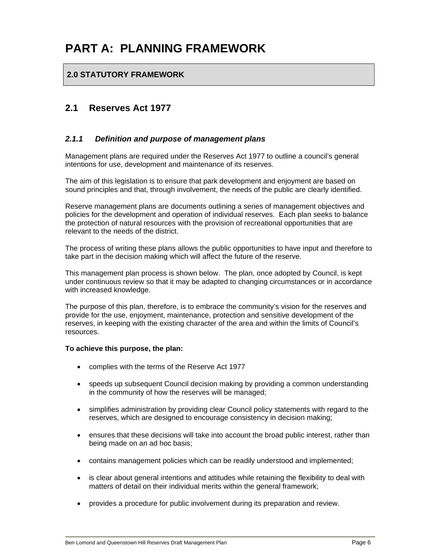## **PART A: PLANNING FRAMEWORK**

## **2.0 STATUTORY FRAMEWORK**

## **2.1 Reserves Act 1977**

#### *2.1.1 Definition and purpose of management plans*

Management plans are required under the Reserves Act 1977 to outline a council's general intentions for use, development and maintenance of its reserves.

The aim of this legislation is to ensure that park development and enjoyment are based on sound principles and that, through involvement, the needs of the public are clearly identified.

Reserve management plans are documents outlining a series of management objectives and policies for the development and operation of individual reserves. Each plan seeks to balance the protection of natural resources with the provision of recreational opportunities that are relevant to the needs of the district.

The process of writing these plans allows the public opportunities to have input and therefore to take part in the decision making which will affect the future of the reserve.

This management plan process is shown below. The plan, once adopted by Council, is kept under continuous review so that it may be adapted to changing circumstances or in accordance with increased knowledge.

The purpose of this plan, therefore, is to embrace the community's vision for the reserves and provide for the use, enjoyment, maintenance, protection and sensitive development of the reserves, in keeping with the existing character of the area and within the limits of Council's resources.

#### **To achieve this purpose, the plan:**

- complies with the terms of the Reserve Act 1977
- speeds up subsequent Council decision making by providing a common understanding in the community of how the reserves will be managed;
- simplifies administration by providing clear Council policy statements with regard to the reserves, which are designed to encourage consistency in decision making;
- ensures that these decisions will take into account the broad public interest, rather than being made on an ad hoc basis;
- contains management policies which can be readily understood and implemented;
- is clear about general intentions and attitudes while retaining the flexibility to deal with matters of detail on their individual merits within the general framework;
- provides a procedure for public involvement during its preparation and review.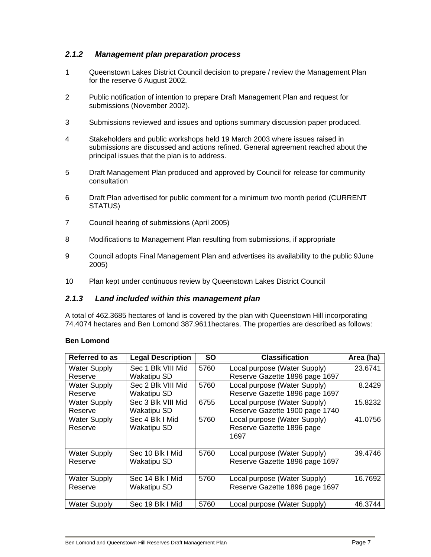## *2.1.2 Management plan preparation process*

- 1 Queenstown Lakes District Council decision to prepare / review the Management Plan for the reserve 6 August 2002.
- 2 Public notification of intention to prepare Draft Management Plan and request for submissions (November 2002).
- 3 Submissions reviewed and issues and options summary discussion paper produced.
- 4 Stakeholders and public workshops held 19 March 2003 where issues raised in submissions are discussed and actions refined. General agreement reached about the principal issues that the plan is to address.
- 5 Draft Management Plan produced and approved by Council for release for community consultation
- 6 Draft Plan advertised for public comment for a minimum two month period (CURRENT STATUS)
- 7 Council hearing of submissions (April 2005)
- 8 Modifications to Management Plan resulting from submissions, if appropriate
- 9 Council adopts Final Management Plan and advertises its availability to the public 9June 2005)
- 10 Plan kept under continuous review by Queenstown Lakes District Council

#### *2.1.3 Land included within this management plan*

A total of 462.3685 hectares of land is covered by the plan with Queenstown Hill incorporating 74.4074 hectares and Ben Lomond 387.9611hectares. The properties are described as follows:

#### **Ben Lomond**

| <b>Referred to as</b> | <b>Legal Description</b> | SΟ   | <b>Classification</b><br>Area (ha) |         |
|-----------------------|--------------------------|------|------------------------------------|---------|
| <b>Water Supply</b>   | Sec 1 Blk VIII Mid       | 5760 | Local purpose (Water Supply)       |         |
| Reserve               | <b>Wakatipu SD</b>       |      | Reserve Gazette 1896 page 1697     |         |
| <b>Water Supply</b>   | Sec 2 Blk VIII Mid       | 5760 | Local purpose (Water Supply)       | 8.2429  |
| Reserve               | <b>Wakatipu SD</b>       |      | Reserve Gazette 1896 page 1697     |         |
| <b>Water Supply</b>   | Sec 3 Blk VIII Mid       | 6755 | Local purpose (Water Supply)       | 15.8232 |
| Reserve               | <b>Wakatipu SD</b>       |      | Reserve Gazette 1900 page 1740     |         |
| <b>Water Supply</b>   | Sec 4 Blk I Mid          | 5760 | Local purpose (Water Supply)       | 41.0756 |
| Reserve               | <b>Wakatipu SD</b>       |      | Reserve Gazette 1896 page          |         |
|                       |                          |      | 1697                               |         |
|                       |                          |      |                                    |         |
| <b>Water Supply</b>   | Sec 10 Blk I Mid         | 5760 | Local purpose (Water Supply)       | 39.4746 |
| Reserve               | Wakatipu SD              |      | Reserve Gazette 1896 page 1697     |         |
|                       |                          |      |                                    |         |
| <b>Water Supply</b>   | Sec 14 Blk I Mid         | 5760 | Local purpose (Water Supply)       | 16.7692 |
| Reserve               | <b>Wakatipu SD</b>       |      | Reserve Gazette 1896 page 1697     |         |
|                       |                          |      |                                    |         |
| <b>Water Supply</b>   | Sec 19 Blk I Mid         | 5760 | Local purpose (Water Supply)       | 46.3744 |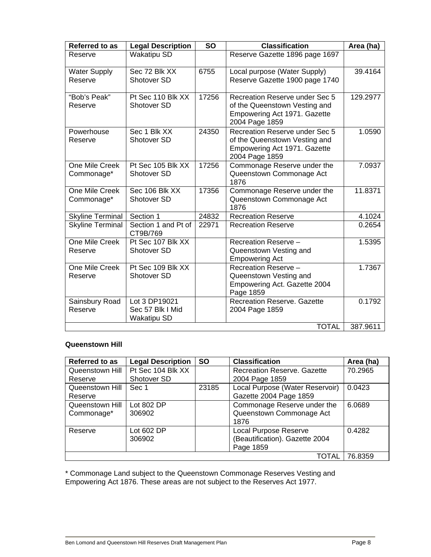| <b>Referred to as</b>          | <b>Legal Description</b>                                                                                                                                  | <b>SO</b> | <b>Classification</b>                                                                                             | Area (ha) |
|--------------------------------|-----------------------------------------------------------------------------------------------------------------------------------------------------------|-----------|-------------------------------------------------------------------------------------------------------------------|-----------|
| Reserve                        | Wakatipu SD                                                                                                                                               |           | Reserve Gazette 1896 page 1697                                                                                    |           |
| <b>Water Supply</b><br>Reserve | Sec 72 Blk XX<br>Shotover SD                                                                                                                              | 6755      | Local purpose (Water Supply)<br>Reserve Gazette 1900 page 1740                                                    | 39.4164   |
| "Bob's Peak"<br>Reserve        | Pt Sec 110 Blk XX<br>Shotover SD                                                                                                                          | 17256     | Recreation Reserve under Sec 5<br>of the Queenstown Vesting and<br>Empowering Act 1971. Gazette<br>2004 Page 1859 | 129.2977  |
| Powerhouse<br>Reserve          | Sec 1 Blk XX<br>Recreation Reserve under Sec 5<br>24350<br>Shotover SD<br>of the Queenstown Vesting and<br>Empowering Act 1971. Gazette<br>2004 Page 1859 |           | 1.0590                                                                                                            |           |
| One Mile Creek<br>Commonage*   | Pt Sec 105 Blk XX<br>Shotover SD                                                                                                                          | 17256     | Commonage Reserve under the<br>Queenstown Commonage Act<br>1876                                                   | 7.0937    |
| One Mile Creek<br>Commonage*   | Sec 106 Blk XX<br>Shotover SD                                                                                                                             | 17356     | Commonage Reserve under the<br>Queenstown Commonage Act<br>1876                                                   | 11.8371   |
| <b>Skyline Terminal</b>        | Section 1                                                                                                                                                 | 24832     | <b>Recreation Reserve</b>                                                                                         | 4.1024    |
| <b>Skyline Terminal</b>        | Section 1 and Pt of<br>CT9B/769                                                                                                                           | 22971     | <b>Recreation Reserve</b>                                                                                         | 0.2654    |
| One Mile Creek<br>Reserve      | Pt Sec 107 Blk XX<br>Shotover SD                                                                                                                          |           | Recreation Reserve -<br>Queenstown Vesting and<br><b>Empowering Act</b>                                           | 1.5395    |
| One Mile Creek<br>Reserve      | Pt Sec 109 Blk XX<br>Shotover SD                                                                                                                          |           | Recreation Reserve -<br>Queenstown Vesting and<br>Empowering Act. Gazette 2004<br>Page 1859                       | 1.7367    |
| Sainsbury Road<br>Reserve      | Lot 3 DP19021<br>Sec 57 Blk I Mid<br><b>Wakatipu SD</b>                                                                                                   |           | <b>Recreation Reserve, Gazette</b><br>2004 Page 1859                                                              | 0.1792    |
|                                |                                                                                                                                                           |           | <b>TOTAL</b>                                                                                                      | 387.9611  |

#### **Queenstown Hill**

| <b>Referred to as</b> | <b>Legal Description</b> | <b>SO</b> | <b>Classification</b>              | Area (ha) |
|-----------------------|--------------------------|-----------|------------------------------------|-----------|
| Queenstown Hill       | Pt Sec 104 Blk XX        |           | <b>Recreation Reserve. Gazette</b> | 70.2965   |
| Reserve               | Shotover SD              |           | 2004 Page 1859                     |           |
| Queenstown Hill       | Sec 1                    | 23185     | Local Purpose (Water Reservoir)    | 0.0423    |
| Reserve               |                          |           | Gazette 2004 Page 1859             |           |
| Queenstown Hill       | <b>Lot 802 DP</b>        |           | Commonage Reserve under the        | 6.0689    |
| Commonage*            | 306902                   |           | Queenstown Commonage Act           |           |
|                       |                          |           | 1876                               |           |
| Reserve               | Lot 602 DP               |           | <b>Local Purpose Reserve</b>       | 0.4282    |
|                       | 306902                   |           | (Beautification). Gazette 2004     |           |
|                       |                          |           | Page 1859                          |           |
|                       |                          |           | TOTAL                              | 76.8359   |

\* Commonage Land subject to the Queenstown Commonage Reserves Vesting and Empowering Act 1876. These areas are not subject to the Reserves Act 1977.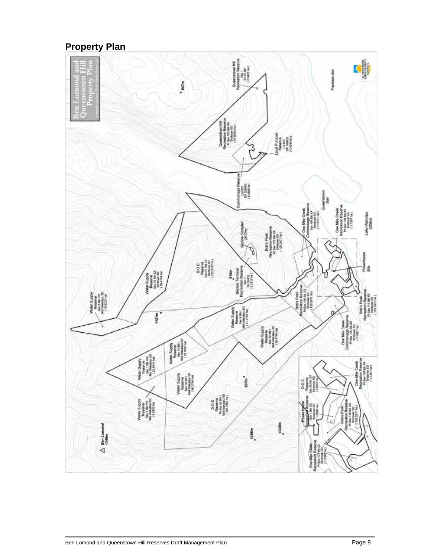**Property Plan** 

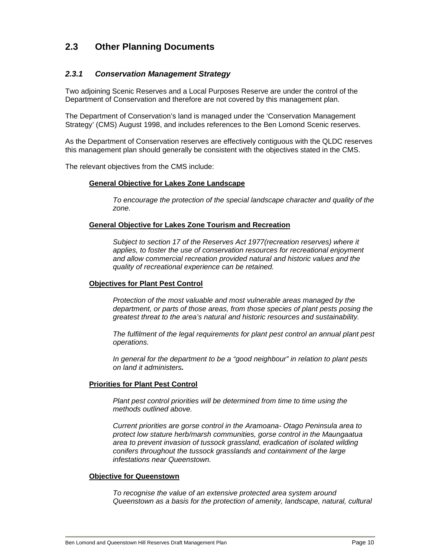## **2.3 Other Planning Documents**

## *2.3.1 Conservation Management Strategy*

Two adjoining Scenic Reserves and a Local Purposes Reserve are under the control of the Department of Conservation and therefore are not covered by this management plan.

The Department of Conservation's land is managed under the 'Conservation Management Strategy' (CMS) August 1998, and includes references to the Ben Lomond Scenic reserves.

As the Department of Conservation reserves are effectively contiguous with the QLDC reserves this management plan should generally be consistent with the objectives stated in the CMS.

The relevant objectives from the CMS include:

#### **General Objective for Lakes Zone Landscape**

*To encourage the protection of the special landscape character and quality of the zone.* 

#### **General Objective for Lakes Zone Tourism and Recreation**

*Subject to section 17 of the Reserves Act 1977(recreation reserves) where it applies, to foster the use of conservation resources for recreational enjoyment and allow commercial recreation provided natural and historic values and the quality of recreational experience can be retained.* 

#### **Objectives for Plant Pest Control**

*Protection of the most valuable and most vulnerable areas managed by the department, or parts of those areas, from those species of plant pests posing the greatest threat to the area's natural and historic resources and sustainability.* 

*The fulfilment of the legal requirements for plant pest control an annual plant pest operations.* 

*In general for the department to be a "good neighbour" in relation to plant pests on land it administers.* 

#### **Priorities for Plant Pest Control**

*Plant pest control priorities will be determined from time to time using the methods outlined above.* 

*Current priorities are gorse control in the Aramoana- Otago Peninsula area to protect low stature herb/marsh communities, gorse control in the Maungaatua area to prevent invasion of tussock grassland, eradication of isolated wilding conifers throughout the tussock grasslands and containment of the large infestations near Queenstown.* 

#### **Objective for Queenstown**

*To recognise the value of an extensive protected area system around Queenstown as a basis for the protection of amenity, landscape, natural, cultural*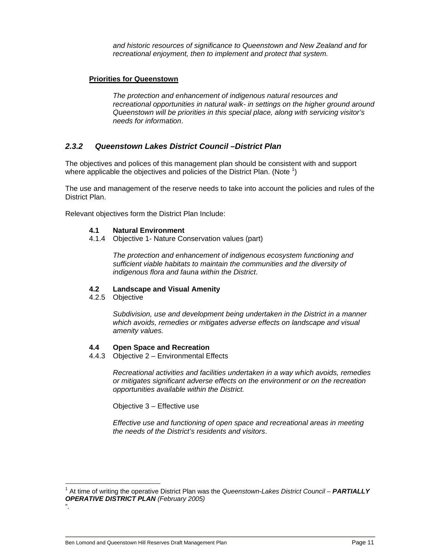*and historic resources of significance to Queenstown and New Zealand and for recreational enjoyment, then to implement and protect that system.* 

#### **Priorities for Queenstown**

*The protection and enhancement of indigenous natural resources and recreational opportunities in natural walk- in settings on the higher ground around Queenstown will be priorities in this special place, along with servicing visitor's needs for information*.

#### *2.3.2 Queenstown Lakes District Council –District Plan*

The objectives and polices of this management plan should be consistent with and support where applicable the objectives and policies of the District Plan. (Note  $1$ )

The use and management of the reserve needs to take into account the policies and rules of the District Plan.

Relevant objectives form the District Plan Include:

#### **4.1 Natural Environment**

4.1.4 Objective 1- Nature Conservation values (part)

*The protection and enhancement of indigenous ecosystem functioning and sufficient viable habitats to maintain the communities and the diversity of indigenous flora and fauna within the District*.

#### **4.2 Landscape and Visual Amenity**

4.2.5 Objective

 $\overline{a}$ 

".

*Subdivision, use and development being undertaken in the District in a manner which avoids, remedies or mitigates adverse effects on landscape and visual amenity values.* 

#### **4.4 Open Space and Recreation**

4.4.3 Objective 2 – Environmental Effects

*Recreational activities and facilities undertaken in a way which avoids, remedies or mitigates significant adverse effects on the environment or on the recreation opportunities available within the District.* 

Objective 3 – Effective use

*Effective use and functioning of open space and recreational areas in meeting the needs of the District's residents and visitors*.

<sup>&</sup>lt;sup>1</sup> At time of writing the operative District Plan was the *Queenstown-Lakes District Council – PARTIALLY OPERATIVE DISTRICT PLAN (February 2005)*

Ben Lomond and Queenstown Hill Reserves Draft Management Plan Page 11 and Page 11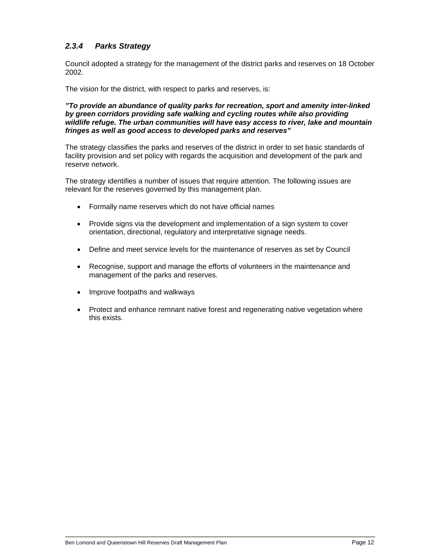## *2.3.4 Parks Strategy*

Council adopted a strategy for the management of the district parks and reserves on 18 October 2002.

The vision for the district, with respect to parks and reserves, is:

*"To provide an abundance of quality parks for recreation, sport and amenity inter-linked by green corridors providing safe walking and cycling routes while also providing wildlife refuge. The urban communities will have easy access to river, lake and mountain fringes as well as good access to developed parks and reserves"* 

The strategy classifies the parks and reserves of the district in order to set basic standards of facility provision and set policy with regards the acquisition and development of the park and reserve network.

The strategy identifies a number of issues that require attention. The following issues are relevant for the reserves governed by this management plan.

- Formally name reserves which do not have official names
- Provide signs via the development and implementation of a sign system to cover orientation, directional, regulatory and interpretative signage needs.
- Define and meet service levels for the maintenance of reserves as set by Council
- Recognise, support and manage the efforts of volunteers in the maintenance and management of the parks and reserves.
- Improve footpaths and walkways
- Protect and enhance remnant native forest and regenerating native vegetation where this exists.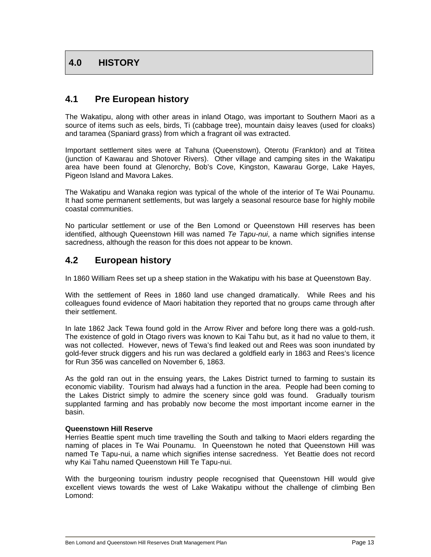## **4.0 HISTORY**

## **4.1 Pre European history**

The Wakatipu, along with other areas in inland Otago, was important to Southern Maori as a source of items such as eels, birds, Ti (cabbage tree), mountain daisy leaves (used for cloaks) and taramea (Spaniard grass) from which a fragrant oil was extracted.

Important settlement sites were at Tahuna (Queenstown), Oterotu (Frankton) and at Tititea (junction of Kawarau and Shotover Rivers). Other village and camping sites in the Wakatipu area have been found at Glenorchy, Bob's Cove, Kingston, Kawarau Gorge, Lake Hayes, Pigeon Island and Mavora Lakes.

The Wakatipu and Wanaka region was typical of the whole of the interior of Te Wai Pounamu. It had some permanent settlements, but was largely a seasonal resource base for highly mobile coastal communities.

No particular settlement or use of the Ben Lomond or Queenstown Hill reserves has been identified, although Queenstown Hill was named *Te Tapu-nui*, a name which signifies intense sacredness, although the reason for this does not appear to be known.

## **4.2 European history**

In 1860 William Rees set up a sheep station in the Wakatipu with his base at Queenstown Bay.

With the settlement of Rees in 1860 land use changed dramatically. While Rees and his colleagues found evidence of Maori habitation they reported that no groups came through after their settlement.

In late 1862 Jack Tewa found gold in the Arrow River and before long there was a gold-rush. The existence of gold in Otago rivers was known to Kai Tahu but, as it had no value to them, it was not collected. However, news of Tewa's find leaked out and Rees was soon inundated by gold-fever struck diggers and his run was declared a goldfield early in 1863 and Rees's licence for Run 356 was cancelled on November 6, 1863.

As the gold ran out in the ensuing years, the Lakes District turned to farming to sustain its economic viability. Tourism had always had a function in the area. People had been coming to the Lakes District simply to admire the scenery since gold was found. Gradually tourism supplanted farming and has probably now become the most important income earner in the basin.

#### **Queenstown Hill Reserve**

Herries Beattie spent much time travelling the South and talking to Maori elders regarding the naming of places in Te Wai Pounamu. In Queenstown he noted that Queenstown Hill was named Te Tapu-nui, a name which signifies intense sacredness. Yet Beattie does not record why Kai Tahu named Queenstown Hill Te Tapu-nui.

With the burgeoning tourism industry people recognised that Queenstown Hill would give excellent views towards the west of Lake Wakatipu without the challenge of climbing Ben Lomond: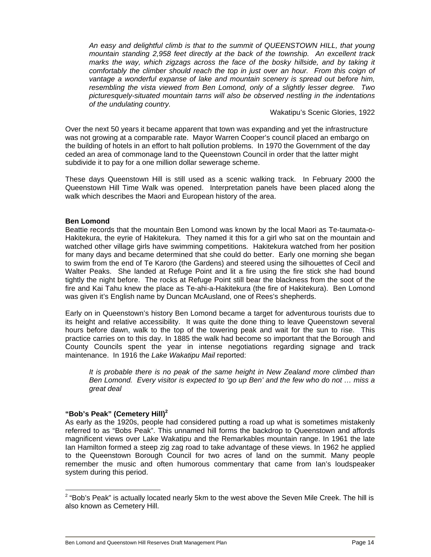*An easy and delightful climb is that to the summit of QUEENSTOWN HILL, that young mountain standing 2,958 feet directly at the back of the township. An excellent track marks the way, which zigzags across the face of the bosky hillside, and by taking it comfortably the climber should reach the top in just over an hour. From this coign of vantage a wonderful expanse of lake and mountain scenery is spread out before him, resembling the vista viewed from Ben Lomond, only of a slightly lesser degree. Two picturesquely-situated mountain tarns will also be observed nestling in the indentations of the undulating country.*

Wakatipu's Scenic Glories, 1922

Over the next 50 years it became apparent that town was expanding and yet the infrastructure was not growing at a comparable rate. Mayor Warren Cooper's council placed an embargo on the building of hotels in an effort to halt pollution problems. In 1970 the Government of the day ceded an area of commonage land to the Queenstown Council in order that the latter might subdivide it to pay for a one million dollar sewerage scheme.

These days Queenstown Hill is still used as a scenic walking track. In February 2000 the Queenstown Hill Time Walk was opened. Interpretation panels have been placed along the walk which describes the Maori and European history of the area.

#### **Ben Lomond**

Beattie records that the mountain Ben Lomond was known by the local Maori as Te-taumata-o-Hakitekura, the eyrie of Hakitekura. They named it this for a girl who sat on the mountain and watched other village girls have swimming competitions. Hakitekura watched from her position for many days and became determined that she could do better. Early one morning she began to swim from the end of Te Karoro (the Gardens) and steered using the silhouettes of Cecil and Walter Peaks. She landed at Refuge Point and lit a fire using the fire stick she had bound tightly the night before. The rocks at Refuge Point still bear the blackness from the soot of the fire and Kai Tahu knew the place as Te-ahi-a-Hakitekura (the fire of Hakitekura). Ben Lomond was given it's English name by Duncan McAusland, one of Rees's shepherds.

Early on in Queenstown's history Ben Lomond became a target for adventurous tourists due to its height and relative accessibility. It was quite the done thing to leave Queenstown several hours before dawn, walk to the top of the towering peak and wait for the sun to rise. This practice carries on to this day. In 1885 the walk had become so important that the Borough and County Councils spent the year in intense negotiations regarding signage and track maintenance. In 1916 the *Lake Wakatipu Mail* reported:

*It is probable there is no peak of the same height in New Zealand more climbed than Ben Lomond. Every visitor is expected to 'go up Ben' and the few who do not … miss a great deal*

#### **"Bob's Peak" (Cemetery Hill)2**

 $\overline{a}$ 

As early as the 1920s, people had considered putting a road up what is sometimes mistakenly referred to as "Bobs Peak". This unnamed hill forms the backdrop to Queenstown and affords magnificent views over Lake Wakatipu and the Remarkables mountain range. In 1961 the late Ian Hamilton formed a steep zig zag road to take advantage of these views. In 1962 he applied to the Queenstown Borough Council for two acres of land on the summit. Many people remember the music and often humorous commentary that came from Ian's loudspeaker system during this period.

 $2$  "Bob's Peak" is actually located nearly 5km to the west above the Seven Mile Creek. The hill is also known as Cemetery Hill.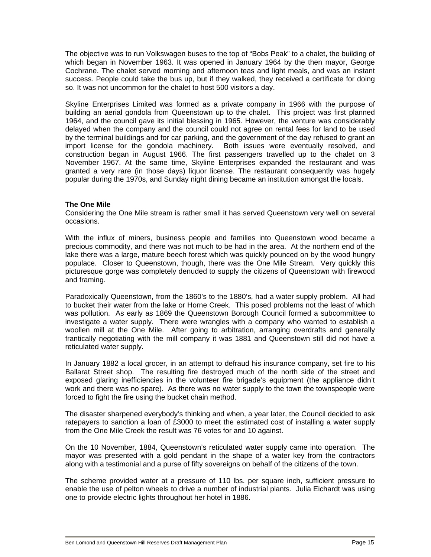The objective was to run Volkswagen buses to the top of "Bobs Peak" to a chalet, the building of which began in November 1963. It was opened in January 1964 by the then mayor, George Cochrane. The chalet served morning and afternoon teas and light meals, and was an instant success. People could take the bus up, but if they walked, they received a certificate for doing so. It was not uncommon for the chalet to host 500 visitors a day.

Skyline Enterprises Limited was formed as a private company in 1966 with the purpose of building an aerial gondola from Queenstown up to the chalet. This project was first planned 1964, and the council gave its initial blessing in 1965. However, the venture was considerably delayed when the company and the council could not agree on rental fees for land to be used by the terminal buildings and for car parking, and the government of the day refused to grant an import license for the gondola machinery. Both issues were eventually resolved, and construction began in August 1966. The first passengers travelled up to the chalet on 3 November 1967. At the same time, Skyline Enterprises expanded the restaurant and was granted a very rare (in those days) liquor license. The restaurant consequently was hugely popular during the 1970s, and Sunday night dining became an institution amongst the locals.

#### **The One Mile**

Considering the One Mile stream is rather small it has served Queenstown very well on several occasions.

With the influx of miners, business people and families into Queenstown wood became a precious commodity, and there was not much to be had in the area. At the northern end of the lake there was a large, mature beech forest which was quickly pounced on by the wood hungry populace. Closer to Queenstown, though, there was the One Mile Stream. Very quickly this picturesque gorge was completely denuded to supply the citizens of Queenstown with firewood and framing.

Paradoxically Queenstown, from the 1860's to the 1880's, had a water supply problem. All had to bucket their water from the lake or Horne Creek. This posed problems not the least of which was pollution. As early as 1869 the Queenstown Borough Council formed a subcommittee to investigate a water supply. There were wrangles with a company who wanted to establish a woollen mill at the One Mile. After going to arbitration, arranging overdrafts and generally frantically negotiating with the mill company it was 1881 and Queenstown still did not have a reticulated water supply.

In January 1882 a local grocer, in an attempt to defraud his insurance company, set fire to his Ballarat Street shop. The resulting fire destroyed much of the north side of the street and exposed glaring inefficiencies in the volunteer fire brigade's equipment (the appliance didn't work and there was no spare). As there was no water supply to the town the townspeople were forced to fight the fire using the bucket chain method.

The disaster sharpened everybody's thinking and when, a year later, the Council decided to ask ratepayers to sanction a loan of £3000 to meet the estimated cost of installing a water supply from the One Mile Creek the result was 76 votes for and 10 against.

On the 10 November, 1884, Queenstown's reticulated water supply came into operation. The mayor was presented with a gold pendant in the shape of a water key from the contractors along with a testimonial and a purse of fifty sovereigns on behalf of the citizens of the town.

The scheme provided water at a pressure of 110 lbs. per square inch, sufficient pressure to enable the use of pelton wheels to drive a number of industrial plants. Julia Eichardt was using one to provide electric lights throughout her hotel in 1886.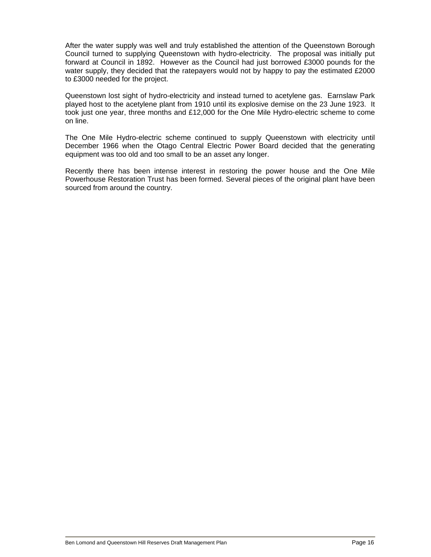After the water supply was well and truly established the attention of the Queenstown Borough Council turned to supplying Queenstown with hydro-electricity. The proposal was initially put forward at Council in 1892. However as the Council had just borrowed £3000 pounds for the water supply, they decided that the ratepayers would not by happy to pay the estimated £2000 to £3000 needed for the project.

Queenstown lost sight of hydro-electricity and instead turned to acetylene gas. Earnslaw Park played host to the acetylene plant from 1910 until its explosive demise on the 23 June 1923. It took just one year, three months and £12,000 for the One Mile Hydro-electric scheme to come on line.

The One Mile Hydro-electric scheme continued to supply Queenstown with electricity until December 1966 when the Otago Central Electric Power Board decided that the generating equipment was too old and too small to be an asset any longer.

Recently there has been intense interest in restoring the power house and the One Mile Powerhouse Restoration Trust has been formed. Several pieces of the original plant have been sourced from around the country.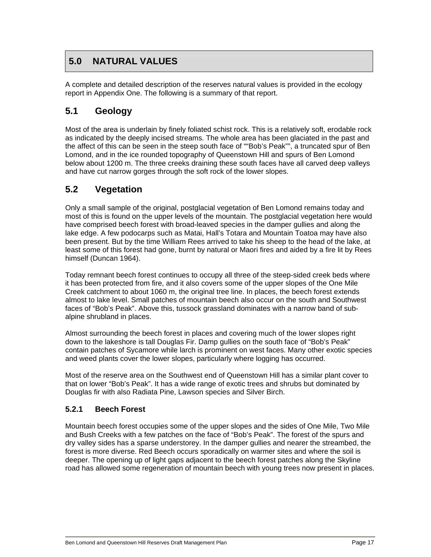## **5.0 NATURAL VALUES**

A complete and detailed description of the reserves natural values is provided in the ecology report in Appendix One. The following is a summary of that report.

## **5.1 Geology**

Most of the area is underlain by finely foliated schist rock. This is a relatively soft, erodable rock as indicated by the deeply incised streams. The whole area has been glaciated in the past and the affect of this can be seen in the steep south face of ""Bob's Peak"", a truncated spur of Ben Lomond, and in the ice rounded topography of Queenstown Hill and spurs of Ben Lomond below about 1200 m. The three creeks draining these south faces have all carved deep valleys and have cut narrow gorges through the soft rock of the lower slopes.

## **5.2 Vegetation**

Only a small sample of the original, postglacial vegetation of Ben Lomond remains today and most of this is found on the upper levels of the mountain. The postglacial vegetation here would have comprised beech forest with broad-leaved species in the damper gullies and along the lake edge. A few podocarps such as Matai, Hall's Totara and Mountain Toatoa may have also been present. But by the time William Rees arrived to take his sheep to the head of the lake, at least some of this forest had gone, burnt by natural or Maori fires and aided by a fire lit by Rees himself (Duncan 1964).

Today remnant beech forest continues to occupy all three of the steep-sided creek beds where it has been protected from fire, and it also covers some of the upper slopes of the One Mile Creek catchment to about 1060 m, the original tree line. In places, the beech forest extends almost to lake level. Small patches of mountain beech also occur on the south and Southwest faces of "Bob's Peak". Above this, tussock grassland dominates with a narrow band of subalpine shrubland in places.

Almost surrounding the beech forest in places and covering much of the lower slopes right down to the lakeshore is tall Douglas Fir. Damp gullies on the south face of "Bob's Peak" contain patches of Sycamore while larch is prominent on west faces. Many other exotic species and weed plants cover the lower slopes, particularly where logging has occurred.

Most of the reserve area on the Southwest end of Queenstown Hill has a similar plant cover to that on lower "Bob's Peak". It has a wide range of exotic trees and shrubs but dominated by Douglas fir with also Radiata Pine, Lawson species and Silver Birch.

## **5.2.1 Beech Forest**

Mountain beech forest occupies some of the upper slopes and the sides of One Mile, Two Mile and Bush Creeks with a few patches on the face of "Bob's Peak". The forest of the spurs and dry valley sides has a sparse understorey. In the damper gullies and nearer the streambed, the forest is more diverse. Red Beech occurs sporadically on warmer sites and where the soil is deeper. The opening up of light gaps adjacent to the beech forest patches along the Skyline road has allowed some regeneration of mountain beech with young trees now present in places.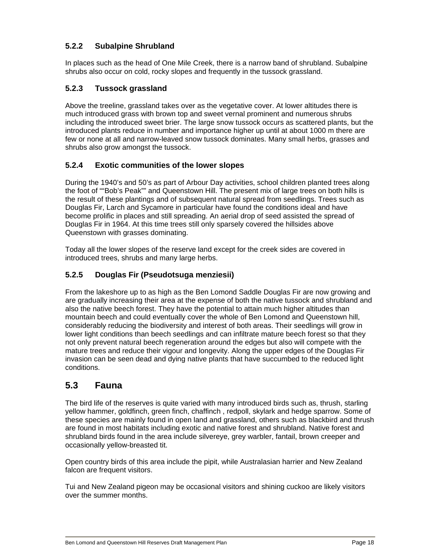## **5.2.2 Subalpine Shrubland**

In places such as the head of One Mile Creek, there is a narrow band of shrubland. Subalpine shrubs also occur on cold, rocky slopes and frequently in the tussock grassland.

## **5.2.3 Tussock grassland**

Above the treeline, grassland takes over as the vegetative cover. At lower altitudes there is much introduced grass with brown top and sweet vernal prominent and numerous shrubs including the introduced sweet brier. The large snow tussock occurs as scattered plants, but the introduced plants reduce in number and importance higher up until at about 1000 m there are few or none at all and narrow-leaved snow tussock dominates. Many small herbs, grasses and shrubs also grow amongst the tussock.

## **5.2.4 Exotic communities of the lower slopes**

During the 1940's and 50's as part of Arbour Day activities, school children planted trees along the foot of ""Bob's Peak"" and Queenstown Hill. The present mix of large trees on both hills is the result of these plantings and of subsequent natural spread from seedlings. Trees such as Douglas Fir, Larch and Sycamore in particular have found the conditions ideal and have become prolific in places and still spreading. An aerial drop of seed assisted the spread of Douglas Fir in 1964. At this time trees still only sparsely covered the hillsides above Queenstown with grasses dominating.

Today all the lower slopes of the reserve land except for the creek sides are covered in introduced trees, shrubs and many large herbs.

## **5.2.5 Douglas Fir (Pseudotsuga menziesii)**

From the lakeshore up to as high as the Ben Lomond Saddle Douglas Fir are now growing and are gradually increasing their area at the expense of both the native tussock and shrubland and also the native beech forest. They have the potential to attain much higher altitudes than mountain beech and could eventually cover the whole of Ben Lomond and Queenstown hill, considerably reducing the biodiversity and interest of both areas. Their seedlings will grow in lower light conditions than beech seedlings and can infiltrate mature beech forest so that they not only prevent natural beech regeneration around the edges but also will compete with the mature trees and reduce their vigour and longevity. Along the upper edges of the Douglas Fir invasion can be seen dead and dying native plants that have succumbed to the reduced light conditions.

## **5.3 Fauna**

The bird life of the reserves is quite varied with many introduced birds such as, thrush, starling yellow hammer, goldfinch, green finch, chaffinch , redpoll, skylark and hedge sparrow. Some of these species are mainly found in open land and grassland, others such as blackbird and thrush are found in most habitats including exotic and native forest and shrubland. Native forest and shrubland birds found in the area include silvereye, grey warbler, fantail, brown creeper and occasionally yellow-breasted tit.

Open country birds of this area include the pipit, while Australasian harrier and New Zealand falcon are frequent visitors.

Tui and New Zealand pigeon may be occasional visitors and shining cuckoo are likely visitors over the summer months.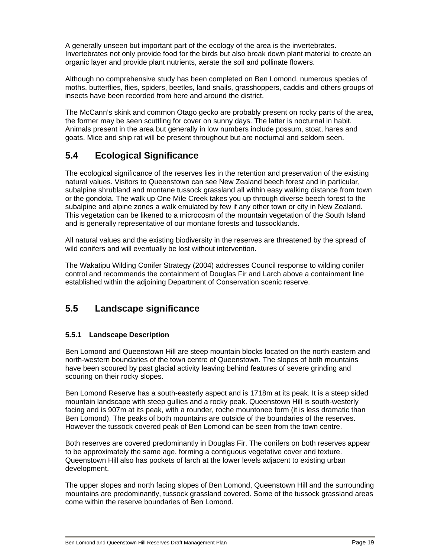A generally unseen but important part of the ecology of the area is the invertebrates. Invertebrates not only provide food for the birds but also break down plant material to create an organic layer and provide plant nutrients, aerate the soil and pollinate flowers.

Although no comprehensive study has been completed on Ben Lomond, numerous species of moths, butterflies, flies, spiders, beetles, land snails, grasshoppers, caddis and others groups of insects have been recorded from here and around the district.

The McCann's skink and common Otago gecko are probably present on rocky parts of the area, the former may be seen scuttling for cover on sunny days. The latter is nocturnal in habit. Animals present in the area but generally in low numbers include possum, stoat, hares and goats. Mice and ship rat will be present throughout but are nocturnal and seldom seen.

## **5.4 Ecological Significance**

The ecological significance of the reserves lies in the retention and preservation of the existing natural values. Visitors to Queenstown can see New Zealand beech forest and in particular, subalpine shrubland and montane tussock grassland all within easy walking distance from town or the gondola. The walk up One Mile Creek takes you up through diverse beech forest to the subalpine and alpine zones a walk emulated by few if any other town or city in New Zealand. This vegetation can be likened to a microcosm of the mountain vegetation of the South Island and is generally representative of our montane forests and tussocklands.

All natural values and the existing biodiversity in the reserves are threatened by the spread of wild conifers and will eventually be lost without intervention.

The Wakatipu Wilding Conifer Strategy (2004) addresses Council response to wilding conifer control and recommends the containment of Douglas Fir and Larch above a containment line established within the adjoining Department of Conservation scenic reserve.

## **5.5 Landscape significance**

## **5.5.1 Landscape Description**

Ben Lomond and Queenstown Hill are steep mountain blocks located on the north-eastern and north-western boundaries of the town centre of Queenstown. The slopes of both mountains have been scoured by past glacial activity leaving behind features of severe grinding and scouring on their rocky slopes.

Ben Lomond Reserve has a south-easterly aspect and is 1718m at its peak. It is a steep sided mountain landscape with steep gullies and a rocky peak. Queenstown Hill is south-westerly facing and is 907m at its peak, with a rounder, roche mountonee form (it is less dramatic than Ben Lomond). The peaks of both mountains are outside of the boundaries of the reserves. However the tussock covered peak of Ben Lomond can be seen from the town centre.

Both reserves are covered predominantly in Douglas Fir. The conifers on both reserves appear to be approximately the same age, forming a contiguous vegetative cover and texture. Queenstown Hill also has pockets of larch at the lower levels adjacent to existing urban development.

The upper slopes and north facing slopes of Ben Lomond, Queenstown Hill and the surrounding mountains are predominantly, tussock grassland covered. Some of the tussock grassland areas come within the reserve boundaries of Ben Lomond.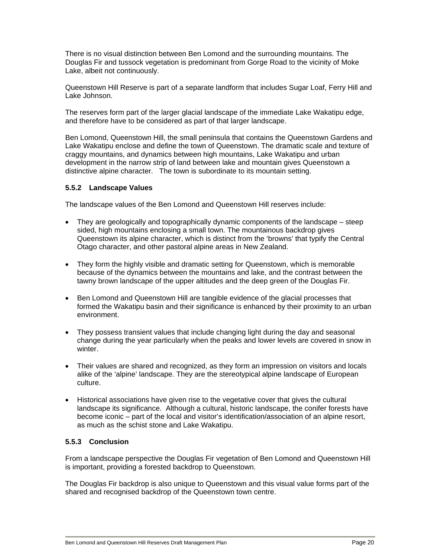There is no visual distinction between Ben Lomond and the surrounding mountains. The Douglas Fir and tussock vegetation is predominant from Gorge Road to the vicinity of Moke Lake, albeit not continuously.

Queenstown Hill Reserve is part of a separate landform that includes Sugar Loaf, Ferry Hill and Lake Johnson.

The reserves form part of the larger glacial landscape of the immediate Lake Wakatipu edge, and therefore have to be considered as part of that larger landscape.

Ben Lomond, Queenstown Hill, the small peninsula that contains the Queenstown Gardens and Lake Wakatipu enclose and define the town of Queenstown. The dramatic scale and texture of craggy mountains, and dynamics between high mountains, Lake Wakatipu and urban development in the narrow strip of land between lake and mountain gives Queenstown a distinctive alpine character. The town is subordinate to its mountain setting.

#### **5.5.2 Landscape Values**

The landscape values of the Ben Lomond and Queenstown Hill reserves include:

- They are geologically and topographically dynamic components of the landscape steep sided, high mountains enclosing a small town. The mountainous backdrop gives Queenstown its alpine character, which is distinct from the 'browns' that typify the Central Otago character, and other pastoral alpine areas in New Zealand.
- They form the highly visible and dramatic setting for Queenstown, which is memorable because of the dynamics between the mountains and lake, and the contrast between the tawny brown landscape of the upper altitudes and the deep green of the Douglas Fir.
- Ben Lomond and Queenstown Hill are tangible evidence of the glacial processes that formed the Wakatipu basin and their significance is enhanced by their proximity to an urban environment.
- They possess transient values that include changing light during the day and seasonal change during the year particularly when the peaks and lower levels are covered in snow in winter.
- Their values are shared and recognized, as they form an impression on visitors and locals alike of the 'alpine' landscape. They are the stereotypical alpine landscape of European culture.
- Historical associations have given rise to the vegetative cover that gives the cultural landscape its significance. Although a cultural, historic landscape, the conifer forests have become iconic – part of the local and visitor's identification/association of an alpine resort, as much as the schist stone and Lake Wakatipu.

#### **5.5.3 Conclusion**

From a landscape perspective the Douglas Fir vegetation of Ben Lomond and Queenstown Hill is important, providing a forested backdrop to Queenstown.

The Douglas Fir backdrop is also unique to Queenstown and this visual value forms part of the shared and recognised backdrop of the Queenstown town centre.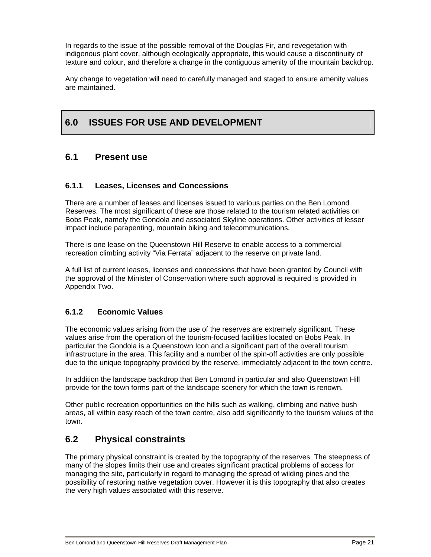In regards to the issue of the possible removal of the Douglas Fir, and revegetation with indigenous plant cover, although ecologically appropriate, this would cause a discontinuity of texture and colour, and therefore a change in the contiguous amenity of the mountain backdrop.

Any change to vegetation will need to carefully managed and staged to ensure amenity values are maintained.

## **6.0 ISSUES FOR USE AND DEVELOPMENT**

## **6.1 Present use**

## **6.1.1 Leases, Licenses and Concessions**

There are a number of leases and licenses issued to various parties on the Ben Lomond Reserves. The most significant of these are those related to the tourism related activities on Bobs Peak, namely the Gondola and associated Skyline operations. Other activities of lesser impact include parapenting, mountain biking and telecommunications.

There is one lease on the Queenstown Hill Reserve to enable access to a commercial recreation climbing activity "Via Ferrata" adjacent to the reserve on private land.

A full list of current leases, licenses and concessions that have been granted by Council with the approval of the Minister of Conservation where such approval is required is provided in Appendix Two.

## **6.1.2 Economic Values**

The economic values arising from the use of the reserves are extremely significant. These values arise from the operation of the tourism-focused facilities located on Bobs Peak. In particular the Gondola is a Queenstown Icon and a significant part of the overall tourism infrastructure in the area. This facility and a number of the spin-off activities are only possible due to the unique topography provided by the reserve, immediately adjacent to the town centre.

In addition the landscape backdrop that Ben Lomond in particular and also Queenstown Hill provide for the town forms part of the landscape scenery for which the town is renown.

Other public recreation opportunities on the hills such as walking, climbing and native bush areas, all within easy reach of the town centre, also add significantly to the tourism values of the town.

## **6.2 Physical constraints**

The primary physical constraint is created by the topography of the reserves. The steepness of many of the slopes limits their use and creates significant practical problems of access for managing the site, particularly in regard to managing the spread of wilding pines and the possibility of restoring native vegetation cover. However it is this topography that also creates the very high values associated with this reserve.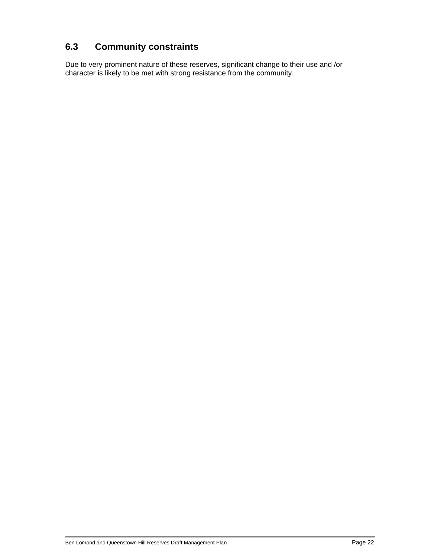## **6.3 Community constraints**

Due to very prominent nature of these reserves, significant change to their use and /or character is likely to be met with strong resistance from the community.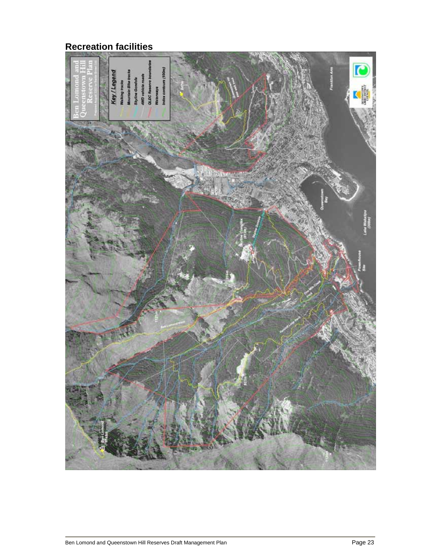## **Recreation facilities**

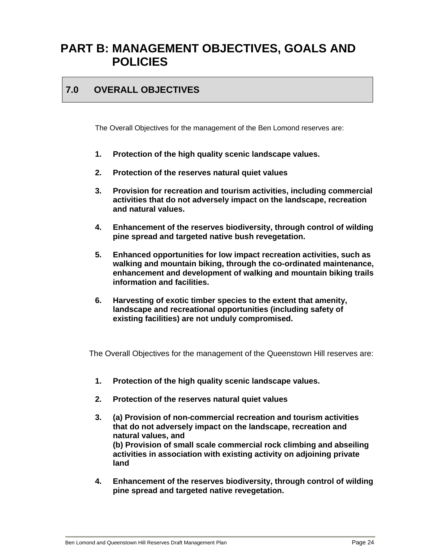## **PART B: MANAGEMENT OBJECTIVES, GOALS AND POLICIES**

## **7.0 OVERALL OBJECTIVES**

The Overall Objectives for the management of the Ben Lomond reserves are:

- **1. Protection of the high quality scenic landscape values.**
- **2. Protection of the reserves natural quiet values**
- **3. Provision for recreation and tourism activities, including commercial activities that do not adversely impact on the landscape, recreation and natural values.**
- **4. Enhancement of the reserves biodiversity, through control of wilding pine spread and targeted native bush revegetation.**
- **5. Enhanced opportunities for low impact recreation activities, such as walking and mountain biking, through the co-ordinated maintenance, enhancement and development of walking and mountain biking trails information and facilities.**
- **6. Harvesting of exotic timber species to the extent that amenity, landscape and recreational opportunities (including safety of existing facilities) are not unduly compromised.**

The Overall Objectives for the management of the Queenstown Hill reserves are:

- **1. Protection of the high quality scenic landscape values.**
- **2. Protection of the reserves natural quiet values**
- **3. (a) Provision of non-commercial recreation and tourism activities that do not adversely impact on the landscape, recreation and natural values, and (b) Provision of small scale commercial rock climbing and abseiling activities in association with existing activity on adjoining private land**
- **4. Enhancement of the reserves biodiversity, through control of wilding pine spread and targeted native revegetation.**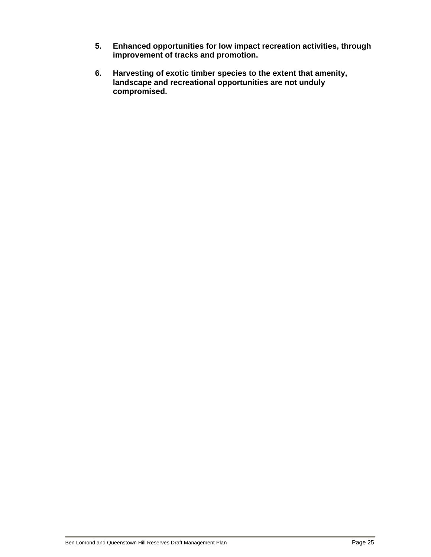- **5. Enhanced opportunities for low impact recreation activities, through improvement of tracks and promotion.**
- **6. Harvesting of exotic timber species to the extent that amenity, landscape and recreational opportunities are not unduly compromised.**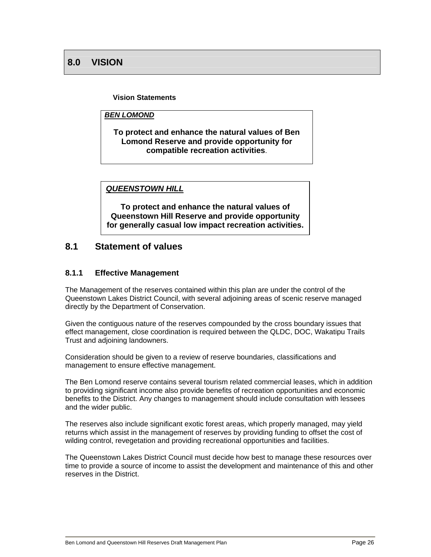#### **Vision Statements**

*BEN LOMOND*

**To protect and enhance the natural values of Ben Lomond Reserve and provide opportunity for compatible recreation activities**.

*QUEENSTOWN HILL*

**To protect and enhance the natural values of Queenstown Hill Reserve and provide opportunity for generally casual low impact recreation activities.** 

## **8.1 Statement of values**

#### **8.1.1 Effective Management**

The Management of the reserves contained within this plan are under the control of the Queenstown Lakes District Council, with several adjoining areas of scenic reserve managed directly by the Department of Conservation.

Given the contiguous nature of the reserves compounded by the cross boundary issues that effect management, close coordination is required between the QLDC, DOC, Wakatipu Trails Trust and adjoining landowners.

Consideration should be given to a review of reserve boundaries, classifications and management to ensure effective management.

The Ben Lomond reserve contains several tourism related commercial leases, which in addition to providing significant income also provide benefits of recreation opportunities and economic benefits to the District. Any changes to management should include consultation with lessees and the wider public.

The reserves also include significant exotic forest areas, which properly managed, may yield returns which assist in the management of reserves by providing funding to offset the cost of wilding control, revegetation and providing recreational opportunities and facilities.

The Queenstown Lakes District Council must decide how best to manage these resources over time to provide a source of income to assist the development and maintenance of this and other reserves in the District.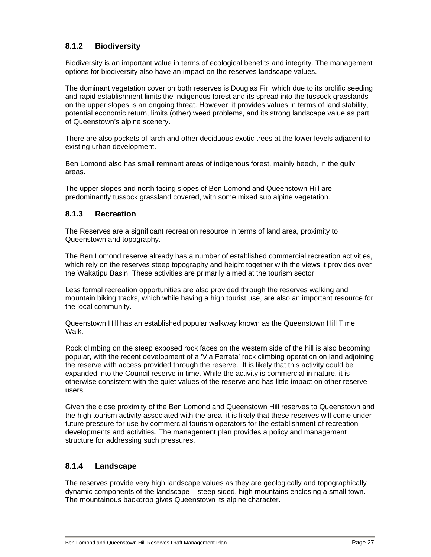## **8.1.2 Biodiversity**

Biodiversity is an important value in terms of ecological benefits and integrity. The management options for biodiversity also have an impact on the reserves landscape values.

The dominant vegetation cover on both reserves is Douglas Fir, which due to its prolific seeding and rapid establishment limits the indigenous forest and its spread into the tussock grasslands on the upper slopes is an ongoing threat. However, it provides values in terms of land stability, potential economic return, limits (other) weed problems, and its strong landscape value as part of Queenstown's alpine scenery.

There are also pockets of larch and other deciduous exotic trees at the lower levels adjacent to existing urban development.

Ben Lomond also has small remnant areas of indigenous forest, mainly beech, in the gully areas.

The upper slopes and north facing slopes of Ben Lomond and Queenstown Hill are predominantly tussock grassland covered, with some mixed sub alpine vegetation.

## **8.1.3 Recreation**

The Reserves are a significant recreation resource in terms of land area, proximity to Queenstown and topography.

The Ben Lomond reserve already has a number of established commercial recreation activities, which rely on the reserves steep topography and height together with the views it provides over the Wakatipu Basin. These activities are primarily aimed at the tourism sector.

Less formal recreation opportunities are also provided through the reserves walking and mountain biking tracks, which while having a high tourist use, are also an important resource for the local community.

Queenstown Hill has an established popular walkway known as the Queenstown Hill Time Walk.

Rock climbing on the steep exposed rock faces on the western side of the hill is also becoming popular, with the recent development of a 'Via Ferrata' rock climbing operation on land adjoining the reserve with access provided through the reserve. It is likely that this activity could be expanded into the Council reserve in time. While the activity is commercial in nature, it is otherwise consistent with the quiet values of the reserve and has little impact on other reserve users.

Given the close proximity of the Ben Lomond and Queenstown Hill reserves to Queenstown and the high tourism activity associated with the area, it is likely that these reserves will come under future pressure for use by commercial tourism operators for the establishment of recreation developments and activities. The management plan provides a policy and management structure for addressing such pressures.

## **8.1.4 Landscape**

The reserves provide very high landscape values as they are geologically and topographically dynamic components of the landscape – steep sided, high mountains enclosing a small town. The mountainous backdrop gives Queenstown its alpine character.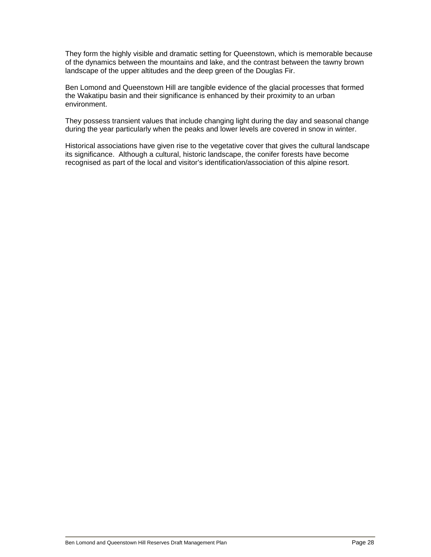They form the highly visible and dramatic setting for Queenstown, which is memorable because of the dynamics between the mountains and lake, and the contrast between the tawny brown landscape of the upper altitudes and the deep green of the Douglas Fir.

Ben Lomond and Queenstown Hill are tangible evidence of the glacial processes that formed the Wakatipu basin and their significance is enhanced by their proximity to an urban environment.

They possess transient values that include changing light during the day and seasonal change during the year particularly when the peaks and lower levels are covered in snow in winter.

Historical associations have given rise to the vegetative cover that gives the cultural landscape its significance. Although a cultural, historic landscape, the conifer forests have become recognised as part of the local and visitor's identification/association of this alpine resort.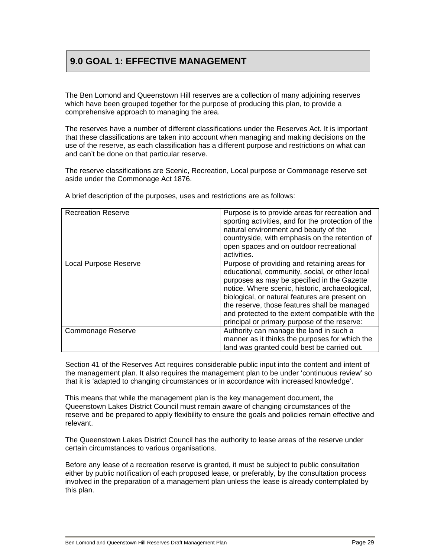## **9.0 GOAL 1: EFFECTIVE MANAGEMENT**

The Ben Lomond and Queenstown Hill reserves are a collection of many adjoining reserves which have been grouped together for the purpose of producing this plan, to provide a comprehensive approach to managing the area.

The reserves have a number of different classifications under the Reserves Act. It is important that these classifications are taken into account when managing and making decisions on the use of the reserve, as each classification has a different purpose and restrictions on what can and can't be done on that particular reserve.

The reserve classifications are Scenic, Recreation, Local purpose or Commonage reserve set aside under the Commonage Act 1876.

| <b>Recreation Reserve</b> | Purpose is to provide areas for recreation and<br>sporting activities, and for the protection of the<br>natural environment and beauty of the<br>countryside, with emphasis on the retention of<br>open spaces and on outdoor recreational<br>activities.                                                                                                                                             |
|---------------------------|-------------------------------------------------------------------------------------------------------------------------------------------------------------------------------------------------------------------------------------------------------------------------------------------------------------------------------------------------------------------------------------------------------|
| Local Purpose Reserve     | Purpose of providing and retaining areas for<br>educational, community, social, or other local<br>purposes as may be specified in the Gazette<br>notice. Where scenic, historic, archaeological,<br>biological, or natural features are present on<br>the reserve, those features shall be managed<br>and protected to the extent compatible with the<br>principal or primary purpose of the reserve: |
| Commonage Reserve         | Authority can manage the land in such a<br>manner as it thinks the purposes for which the<br>land was granted could best be carried out.                                                                                                                                                                                                                                                              |

A brief description of the purposes, uses and restrictions are as follows:

Section 41 of the Reserves Act requires considerable public input into the content and intent of the management plan. It also requires the management plan to be under 'continuous review' so that it is 'adapted to changing circumstances or in accordance with increased knowledge'.

This means that while the management plan is the key management document, the Queenstown Lakes District Council must remain aware of changing circumstances of the reserve and be prepared to apply flexibility to ensure the goals and policies remain effective and relevant.

The Queenstown Lakes District Council has the authority to lease areas of the reserve under certain circumstances to various organisations.

Before any lease of a recreation reserve is granted, it must be subject to public consultation either by public notification of each proposed lease, or preferably, by the consultation process involved in the preparation of a management plan unless the lease is already contemplated by this plan.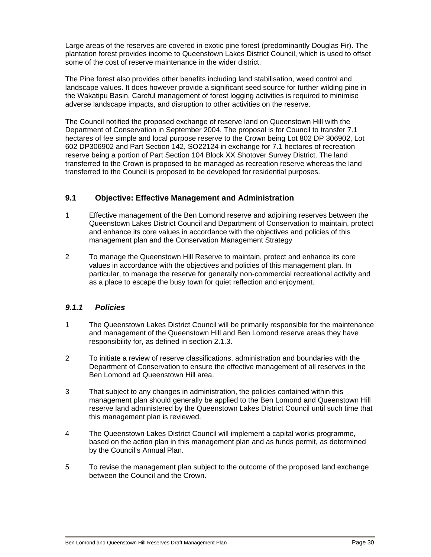Large areas of the reserves are covered in exotic pine forest (predominantly Douglas Fir). The plantation forest provides income to Queenstown Lakes District Council, which is used to offset some of the cost of reserve maintenance in the wider district.

The Pine forest also provides other benefits including land stabilisation, weed control and landscape values. It does however provide a significant seed source for further wilding pine in the Wakatipu Basin. Careful management of forest logging activities is required to minimise adverse landscape impacts, and disruption to other activities on the reserve.

The Council notified the proposed exchange of reserve land on Queenstown Hill with the Department of Conservation in September 2004. The proposal is for Council to transfer 7.1 hectares of fee simple and local purpose reserve to the Crown being Lot 802 DP 306902, Lot 602 DP306902 and Part Section 142, SO22124 in exchange for 7.1 hectares of recreation reserve being a portion of Part Section 104 Block XX Shotover Survey District. The land transferred to the Crown is proposed to be managed as recreation reserve whereas the land transferred to the Council is proposed to be developed for residential purposes.

## **9.1 Objective: Effective Management and Administration**

- 1 Effective management of the Ben Lomond reserve and adjoining reserves between the Queenstown Lakes District Council and Department of Conservation to maintain, protect and enhance its core values in accordance with the objectives and policies of this management plan and the Conservation Management Strategy
- 2 To manage the Queenstown Hill Reserve to maintain, protect and enhance its core values in accordance with the objectives and policies of this management plan. In particular, to manage the reserve for generally non-commercial recreational activity and as a place to escape the busy town for quiet reflection and enjoyment.

## *9.1.1 Policies*

- 1 The Queenstown Lakes District Council will be primarily responsible for the maintenance and management of the Queenstown Hill and Ben Lomond reserve areas they have responsibility for, as defined in section 2.1.3.
- 2 To initiate a review of reserve classifications, administration and boundaries with the Department of Conservation to ensure the effective management of all reserves in the Ben Lomond ad Queenstown Hill area.
- 3 That subject to any changes in administration, the policies contained within this management plan should generally be applied to the Ben Lomond and Queenstown Hill reserve land administered by the Queenstown Lakes District Council until such time that this management plan is reviewed.
- 4 The Queenstown Lakes District Council will implement a capital works programme, based on the action plan in this management plan and as funds permit, as determined by the Council's Annual Plan.
- 5 To revise the management plan subject to the outcome of the proposed land exchange between the Council and the Crown.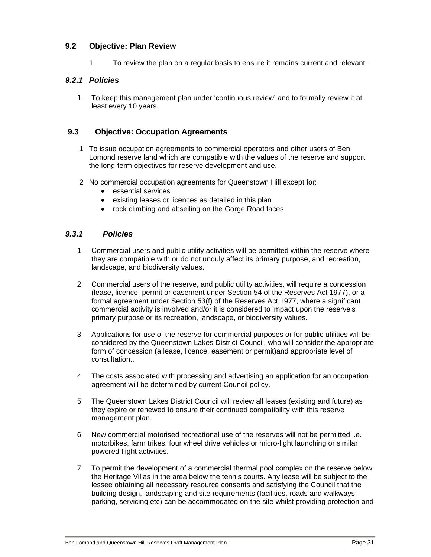## **9.2 Objective: Plan Review**

1. To review the plan on a regular basis to ensure it remains current and relevant.

## *9.2.1 Policies*

1 To keep this management plan under 'continuous review' and to formally review it at least every 10 years.

## **9.3 Objective: Occupation Agreements**

- 1 To issue occupation agreements to commercial operators and other users of Ben Lomond reserve land which are compatible with the values of the reserve and support the long-term objectives for reserve development and use.
- 2 No commercial occupation agreements for Queenstown Hill except for:
	- essential services
	- existing leases or licences as detailed in this plan
	- rock climbing and abseiling on the Gorge Road faces

## *9.3.1 Policies*

- 1 Commercial users and public utility activities will be permitted within the reserve where they are compatible with or do not unduly affect its primary purpose, and recreation, landscape, and biodiversity values.
- 2 Commercial users of the reserve, and public utility activities, will require a concession (lease, licence, permit or easement under Section 54 of the Reserves Act 1977), or a formal agreement under Section 53(f) of the Reserves Act 1977, where a significant commercial activity is involved and/or it is considered to impact upon the reserve's primary purpose or its recreation, landscape, or biodiversity values.
- 3 Applications for use of the reserve for commercial purposes or for public utilities will be considered by the Queenstown Lakes District Council, who will consider the appropriate form of concession (a lease, licence, easement or permit)and appropriate level of consultation..
- 4 The costs associated with processing and advertising an application for an occupation agreement will be determined by current Council policy.
- 5 The Queenstown Lakes District Council will review all leases (existing and future) as they expire or renewed to ensure their continued compatibility with this reserve management plan.
- 6 New commercial motorised recreational use of the reserves will not be permitted i.e. motorbikes, farm trikes, four wheel drive vehicles or micro-light launching or similar powered flight activities.
- 7 To permit the development of a commercial thermal pool complex on the reserve below the Heritage Villas in the area below the tennis courts. Any lease will be subject to the lessee obtaining all necessary resource consents and satisfying the Council that the building design, landscaping and site requirements (facilities, roads and walkways, parking, servicing etc) can be accommodated on the site whilst providing protection and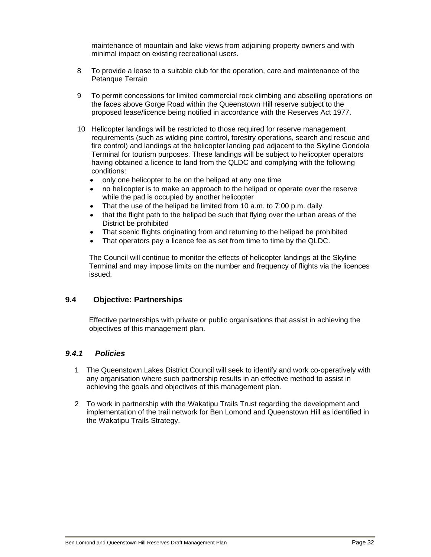maintenance of mountain and lake views from adjoining property owners and with minimal impact on existing recreational users.

- 8 To provide a lease to a suitable club for the operation, care and maintenance of the Petanque Terrain
- 9 To permit concessions for limited commercial rock climbing and abseiling operations on the faces above Gorge Road within the Queenstown Hill reserve subject to the proposed lease/licence being notified in accordance with the Reserves Act 1977.
- 10 Helicopter landings will be restricted to those required for reserve management requirements (such as wilding pine control, forestry operations, search and rescue and fire control) and landings at the helicopter landing pad adjacent to the Skyline Gondola Terminal for tourism purposes. These landings will be subject to helicopter operators having obtained a licence to land from the QLDC and complying with the following conditions:
	- only one helicopter to be on the helipad at any one time
	- no helicopter is to make an approach to the helipad or operate over the reserve while the pad is occupied by another helicopter
	- That the use of the helipad be limited from 10 a.m. to 7:00 p.m. daily
	- that the flight path to the helipad be such that flying over the urban areas of the District be prohibited
	- That scenic flights originating from and returning to the helipad be prohibited
	- That operators pay a licence fee as set from time to time by the QLDC.

The Council will continue to monitor the effects of helicopter landings at the Skyline Terminal and may impose limits on the number and frequency of flights via the licences issued.

#### **9.4 Objective: Partnerships**

Effective partnerships with private or public organisations that assist in achieving the objectives of this management plan.

#### *9.4.1 Policies*

- 1 The Queenstown Lakes District Council will seek to identify and work co-operatively with any organisation where such partnership results in an effective method to assist in achieving the goals and objectives of this management plan.
- 2 To work in partnership with the Wakatipu Trails Trust regarding the development and implementation of the trail network for Ben Lomond and Queenstown Hill as identified in the Wakatipu Trails Strategy.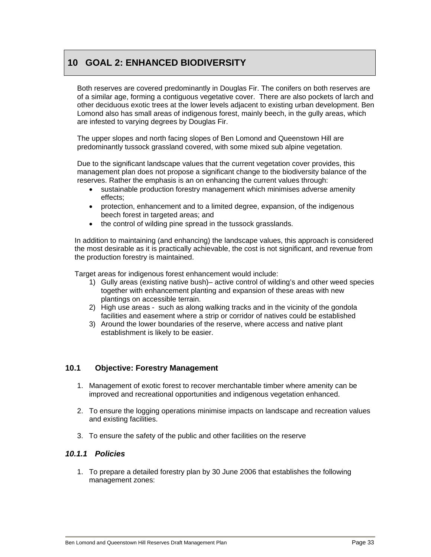## **10 GOAL 2: ENHANCED BIODIVERSITY**

Both reserves are covered predominantly in Douglas Fir. The conifers on both reserves are of a similar age, forming a contiguous vegetative cover. There are also pockets of larch and other deciduous exotic trees at the lower levels adjacent to existing urban development. Ben Lomond also has small areas of indigenous forest, mainly beech, in the gully areas, which are infested to varying degrees by Douglas Fir.

The upper slopes and north facing slopes of Ben Lomond and Queenstown Hill are predominantly tussock grassland covered, with some mixed sub alpine vegetation.

Due to the significant landscape values that the current vegetation cover provides, this management plan does not propose a significant change to the biodiversity balance of the reserves. Rather the emphasis is an on enhancing the current values through:

- sustainable production forestry management which minimises adverse amenity effects;
- protection, enhancement and to a limited degree, expansion, of the indigenous beech forest in targeted areas; and
- the control of wilding pine spread in the tussock grasslands.

In addition to maintaining (and enhancing) the landscape values, this approach is considered the most desirable as it is practically achievable, the cost is not significant, and revenue from the production forestry is maintained.

Target areas for indigenous forest enhancement would include:

- 1) Gully areas (existing native bush)– active control of wilding's and other weed species together with enhancement planting and expansion of these areas with new plantings on accessible terrain.
- 2) High use areas such as along walking tracks and in the vicinity of the gondola facilities and easement where a strip or corridor of natives could be established
- 3) Around the lower boundaries of the reserve, where access and native plant establishment is likely to be easier.

#### **10.1 Objective: Forestry Management**

- 1. Management of exotic forest to recover merchantable timber where amenity can be improved and recreational opportunities and indigenous vegetation enhanced.
- 2. To ensure the logging operations minimise impacts on landscape and recreation values and existing facilities.
- 3. To ensure the safety of the public and other facilities on the reserve

## *10.1.1 Policies*

1. To prepare a detailed forestry plan by 30 June 2006 that establishes the following management zones: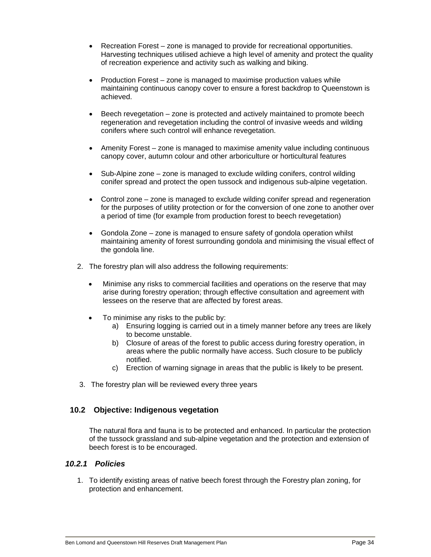- Recreation Forest zone is managed to provide for recreational opportunities. Harvesting techniques utilised achieve a high level of amenity and protect the quality of recreation experience and activity such as walking and biking.
- Production Forest zone is managed to maximise production values while maintaining continuous canopy cover to ensure a forest backdrop to Queenstown is achieved.
- Beech revegetation zone is protected and actively maintained to promote beech regeneration and revegetation including the control of invasive weeds and wilding conifers where such control will enhance revegetation.
- Amenity Forest zone is managed to maximise amenity value including continuous canopy cover, autumn colour and other arboriculture or horticultural features
- Sub-Alpine zone zone is managed to exclude wilding conifers, control wilding conifer spread and protect the open tussock and indigenous sub-alpine vegetation.
- Control zone zone is managed to exclude wilding conifer spread and regeneration for the purposes of utility protection or for the conversion of one zone to another over a period of time (for example from production forest to beech revegetation)
- Gondola Zone zone is managed to ensure safety of gondola operation whilst maintaining amenity of forest surrounding gondola and minimising the visual effect of the gondola line.
- 2. The forestry plan will also address the following requirements:
	- Minimise any risks to commercial facilities and operations on the reserve that may arise during forestry operation; through effective consultation and agreement with lessees on the reserve that are affected by forest areas.
	- To minimise any risks to the public by:
		- a) Ensuring logging is carried out in a timely manner before any trees are likely to become unstable.
		- b) Closure of areas of the forest to public access during forestry operation, in areas where the public normally have access. Such closure to be publicly notified.
		- c) Erection of warning signage in areas that the public is likely to be present.
- 3. The forestry plan will be reviewed every three years

#### **10.2 Objective: Indigenous vegetation**

The natural flora and fauna is to be protected and enhanced. In particular the protection of the tussock grassland and sub-alpine vegetation and the protection and extension of beech forest is to be encouraged.

## *10.2.1 Policies*

1. To identify existing areas of native beech forest through the Forestry plan zoning, for protection and enhancement.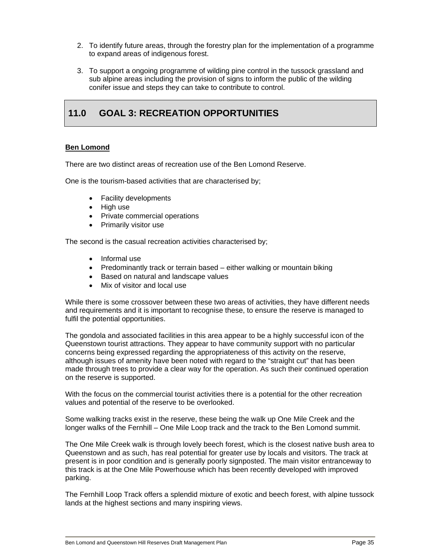- 2. To identify future areas, through the forestry plan for the implementation of a programme to expand areas of indigenous forest.
- 3. To support a ongoing programme of wilding pine control in the tussock grassland and sub alpine areas including the provision of signs to inform the public of the wilding conifer issue and steps they can take to contribute to control.

## **11.0 GOAL 3: RECREATION OPPORTUNITIES**

#### **Ben Lomond**

There are two distinct areas of recreation use of the Ben Lomond Reserve.

One is the tourism-based activities that are characterised by;

- Facility developments
- High use
- Private commercial operations
- Primarily visitor use

The second is the casual recreation activities characterised by;

- Informal use
- Predominantly track or terrain based either walking or mountain biking
- Based on natural and landscape values
- Mix of visitor and local use

While there is some crossover between these two areas of activities, they have different needs and requirements and it is important to recognise these, to ensure the reserve is managed to fulfil the potential opportunities.

The gondola and associated facilities in this area appear to be a highly successful icon of the Queenstown tourist attractions. They appear to have community support with no particular concerns being expressed regarding the appropriateness of this activity on the reserve, although issues of amenity have been noted with regard to the "straight cut" that has been made through trees to provide a clear way for the operation. As such their continued operation on the reserve is supported.

With the focus on the commercial tourist activities there is a potential for the other recreation values and potential of the reserve to be overlooked.

Some walking tracks exist in the reserve, these being the walk up One Mile Creek and the longer walks of the Fernhill – One Mile Loop track and the track to the Ben Lomond summit.

The One Mile Creek walk is through lovely beech forest, which is the closest native bush area to Queenstown and as such, has real potential for greater use by locals and visitors. The track at present is in poor condition and is generally poorly signposted. The main visitor entranceway to this track is at the One Mile Powerhouse which has been recently developed with improved parking.

The Fernhill Loop Track offers a splendid mixture of exotic and beech forest, with alpine tussock lands at the highest sections and many inspiring views.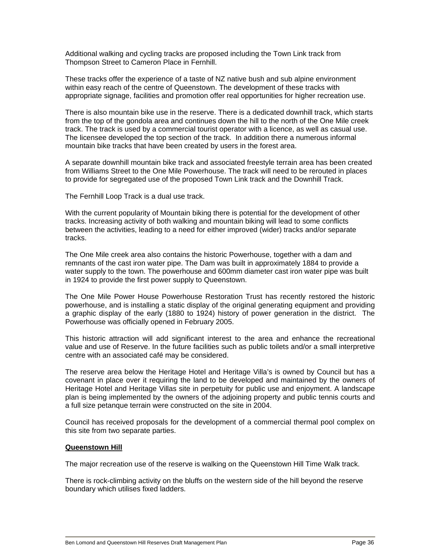Additional walking and cycling tracks are proposed including the Town Link track from Thompson Street to Cameron Place in Fernhill.

These tracks offer the experience of a taste of NZ native bush and sub alpine environment within easy reach of the centre of Queenstown. The development of these tracks with appropriate signage, facilities and promotion offer real opportunities for higher recreation use.

There is also mountain bike use in the reserve. There is a dedicated downhill track, which starts from the top of the gondola area and continues down the hill to the north of the One Mile creek track. The track is used by a commercial tourist operator with a licence, as well as casual use. The licensee developed the top section of the track. In addition there a numerous informal mountain bike tracks that have been created by users in the forest area.

A separate downhill mountain bike track and associated freestyle terrain area has been created from Williams Street to the One Mile Powerhouse. The track will need to be rerouted in places to provide for segregated use of the proposed Town Link track and the Downhill Track.

The Fernhill Loop Track is a dual use track.

With the current popularity of Mountain biking there is potential for the development of other tracks. Increasing activity of both walking and mountain biking will lead to some conflicts between the activities, leading to a need for either improved (wider) tracks and/or separate tracks.

The One Mile creek area also contains the historic Powerhouse, together with a dam and remnants of the cast iron water pipe. The Dam was built in approximately 1884 to provide a water supply to the town. The powerhouse and 600mm diameter cast iron water pipe was built in 1924 to provide the first power supply to Queenstown.

The One Mile Power House Powerhouse Restoration Trust has recently restored the historic powerhouse, and is installing a static display of the original generating equipment and providing a graphic display of the early (1880 to 1924) history of power generation in the district. The Powerhouse was officially opened in February 2005.

This historic attraction will add significant interest to the area and enhance the recreational value and use of Reserve. In the future facilities such as public toilets and/or a small interpretive centre with an associated café may be considered.

The reserve area below the Heritage Hotel and Heritage Villa's is owned by Council but has a covenant in place over it requiring the land to be developed and maintained by the owners of Heritage Hotel and Heritage Villas site in perpetuity for public use and enjoyment. A landscape plan is being implemented by the owners of the adjoining property and public tennis courts and a full size petanque terrain were constructed on the site in 2004.

Council has received proposals for the development of a commercial thermal pool complex on this site from two separate parties.

#### **Queenstown Hill**

The major recreation use of the reserve is walking on the Queenstown Hill Time Walk track.

There is rock-climbing activity on the bluffs on the western side of the hill beyond the reserve boundary which utilises fixed ladders.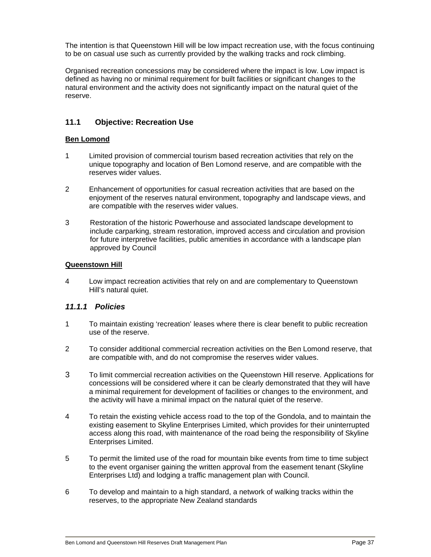The intention is that Queenstown Hill will be low impact recreation use, with the focus continuing to be on casual use such as currently provided by the walking tracks and rock climbing.

Organised recreation concessions may be considered where the impact is low. Low impact is defined as having no or minimal requirement for built facilities or significant changes to the natural environment and the activity does not significantly impact on the natural quiet of the reserve.

## **11.1 Objective: Recreation Use**

#### **Ben Lomond**

- 1 Limited provision of commercial tourism based recreation activities that rely on the unique topography and location of Ben Lomond reserve, and are compatible with the reserves wider values.
- 2 Enhancement of opportunities for casual recreation activities that are based on the enjoyment of the reserves natural environment, topography and landscape views, and are compatible with the reserves wider values.
- 3 Restoration of the historic Powerhouse and associated landscape development to include carparking, stream restoration, improved access and circulation and provision for future interpretive facilities, public amenities in accordance with a landscape plan approved by Council

#### **Queenstown Hill**

4 Low impact recreation activities that rely on and are complementary to Queenstown Hill's natural quiet.

## *11.1.1 Policies*

- 1 To maintain existing 'recreation' leases where there is clear benefit to public recreation use of the reserve.
- 2 To consider additional commercial recreation activities on the Ben Lomond reserve, that are compatible with, and do not compromise the reserves wider values.
- 3 To limit commercial recreation activities on the Queenstown Hill reserve. Applications for concessions will be considered where it can be clearly demonstrated that they will have a minimal requirement for development of facilities or changes to the environment, and the activity will have a minimal impact on the natural quiet of the reserve.
- 4 To retain the existing vehicle access road to the top of the Gondola, and to maintain the existing easement to Skyline Enterprises Limited, which provides for their uninterrupted access along this road, with maintenance of the road being the responsibility of Skyline Enterprises Limited.
- 5 To permit the limited use of the road for mountain bike events from time to time subject to the event organiser gaining the written approval from the easement tenant (Skyline Enterprises Ltd) and lodging a traffic management plan with Council.
- 6 To develop and maintain to a high standard, a network of walking tracks within the reserves, to the appropriate New Zealand standards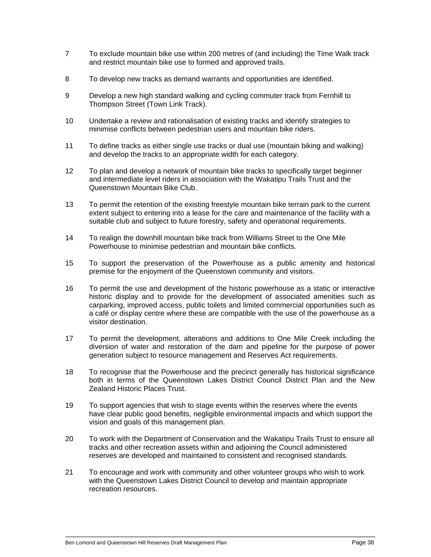- 7 To exclude mountain bike use within 200 metres of (and including) the Time Walk track and restrict mountain bike use to formed and approved trails.
- 8 To develop new tracks as demand warrants and opportunities are identified.
- 9 Develop a new high standard walking and cycling commuter track from Fernhill to Thompson Street (Town Link Track).
- 10 Undertake a review and rationalisation of existing tracks and identify strategies to minimise conflicts between pedestrian users and mountain bike riders.
- 11 To define tracks as either single use tracks or dual use (mountain biking and walking) and develop the tracks to an appropriate width for each category.
- 12 To plan and develop a network of mountain bike tracks to specifically target beginner and intermediate level riders in association with the Wakatipu Trails Trust and the Queenstown Mountain Bike Club.
- 13 To permit the retention of the existing freestyle mountain bike terrain park to the current extent subject to entering into a lease for the care and maintenance of the facility with a suitable club and subject to future forestry, safety and operational requirements.
- 14 To realign the downhill mountain bike track from Williams Street to the One Mile Powerhouse to minimise pedestrian and mountain bike conflicts.
- 15 To support the preservation of the Powerhouse as a public amenity and historical premise for the enjoyment of the Queenstown community and visitors.
- 16 To permit the use and development of the historic powerhouse as a static or interactive historic display and to provide for the development of associated amenities such as carparking, improved access, public toilets and limited commercial opportunities such as a café or display centre where these are compatible with the use of the powerhouse as a visitor destination.
- 17 To permit the development, alterations and additions to One Mile Creek including the diversion of water and restoration of the dam and pipeline for the purpose of power generation subject to resource management and Reserves Act requirements.
- 18 To recognise that the Powerhouse and the precinct generally has historical significance both in terms of the Queenstown Lakes District Council District Plan and the New Zealand Historic Places Trust.
- 19 To support agencies that wish to stage events within the reserves where the events have clear public good benefits, negligible environmental impacts and which support the vision and goals of this management plan.
- 20 To work with the Department of Conservation and the Wakatipu Trails Trust to ensure all tracks and other recreation assets within and adjoining the Council administered reserves are developed and maintained to consistent and recognised standards.
- 21 To encourage and work with community and other volunteer groups who wish to work with the Queenstown Lakes District Council to develop and maintain appropriate recreation resources.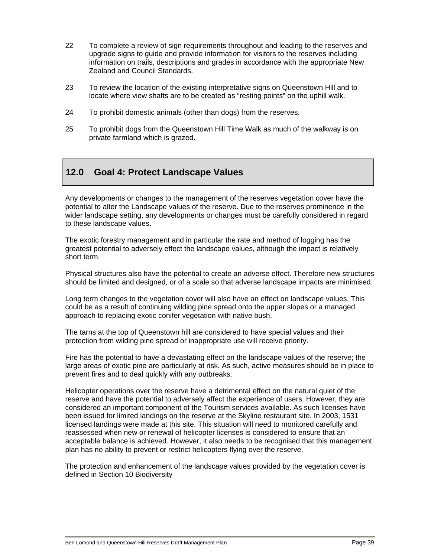- 22 To complete a review of sign requirements throughout and leading to the reserves and upgrade signs to guide and provide information for visitors to the reserves including information on trails, descriptions and grades in accordance with the appropriate New Zealand and Council Standards.
- 23 To review the location of the existing interpretative signs on Queenstown Hill and to locate where view shafts are to be created as "resting points" on the uphill walk.
- 24 To prohibit domestic animals (other than dogs) from the reserves.
- 25 To prohibit dogs from the Queenstown Hill Time Walk as much of the walkway is on private farmland which is grazed.

## **12.0 Goal 4: Protect Landscape Values**

Any developments or changes to the management of the reserves vegetation cover have the potential to alter the Landscape values of the reserve. Due to the reserves prominence in the wider landscape setting, any developments or changes must be carefully considered in regard to these landscape values.

The exotic forestry management and in particular the rate and method of logging has the greatest potential to adversely effect the landscape values, although the impact is relatively short term.

Physical structures also have the potential to create an adverse effect. Therefore new structures should be limited and designed, or of a scale so that adverse landscape impacts are minimised.

Long term changes to the vegetation cover will also have an effect on landscape values. This could be as a result of continuing wilding pine spread onto the upper slopes or a managed approach to replacing exotic conifer vegetation with native bush.

The tarns at the top of Queenstown hill are considered to have special values and their protection from wilding pine spread or inappropriate use will receive priority.

Fire has the potential to have a devastating effect on the landscape values of the reserve; the large areas of exotic pine are particularly at risk. As such, active measures should be in place to prevent fires and to deal quickly with any outbreaks.

Helicopter operations over the reserve have a detrimental effect on the natural quiet of the reserve and have the potential to adversely affect the experience of users. However, they are considered an important component of the Tourism services available. As such licenses have been issued for limited landings on the reserve at the Skyline restaurant site. In 2003, 1531 licensed landings were made at this site. This situation will need to monitored carefully and reassessed when new or renewal of helicopter licenses is considered to ensure that an acceptable balance is achieved. However, it also needs to be recognised that this management plan has no ability to prevent or restrict helicopters flying over the reserve.

The protection and enhancement of the landscape values provided by the vegetation cover is defined in Section 10 Biodiversity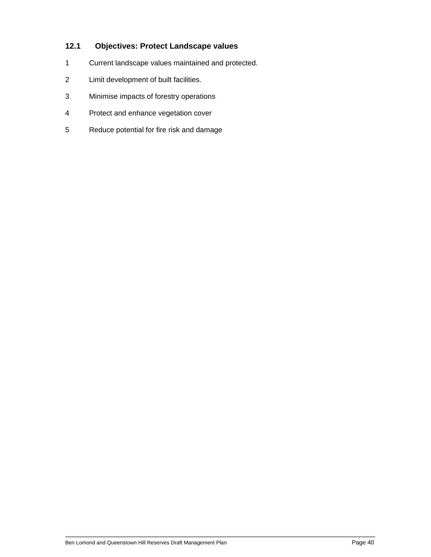## **12.1 Objectives: Protect Landscape values**

- 1 Current landscape values maintained and protected.
- 2 Limit development of built facilities.
- 3 Minimise impacts of forestry operations
- 4 Protect and enhance vegetation cover
- 5 Reduce potential for fire risk and damage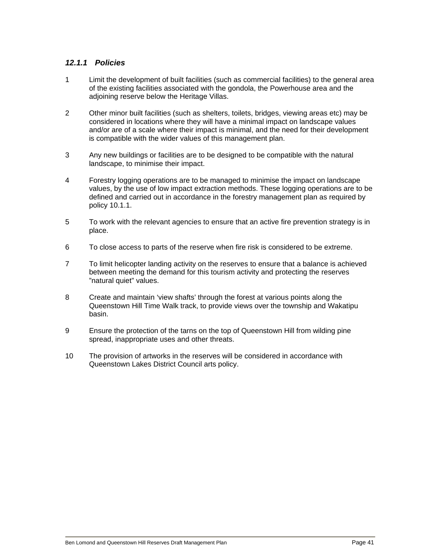## *12.1.1 Policies*

- 1 Limit the development of built facilities (such as commercial facilities) to the general area of the existing facilities associated with the gondola, the Powerhouse area and the adjoining reserve below the Heritage Villas.
- 2 Other minor built facilities (such as shelters, toilets, bridges, viewing areas etc) may be considered in locations where they will have a minimal impact on landscape values and/or are of a scale where their impact is minimal, and the need for their development is compatible with the wider values of this management plan.
- 3 Any new buildings or facilities are to be designed to be compatible with the natural landscape, to minimise their impact.
- 4 Forestry logging operations are to be managed to minimise the impact on landscape values, by the use of low impact extraction methods. These logging operations are to be defined and carried out in accordance in the forestry management plan as required by policy 10.1.1.
- 5 To work with the relevant agencies to ensure that an active fire prevention strategy is in place.
- 6 To close access to parts of the reserve when fire risk is considered to be extreme.
- 7 To limit helicopter landing activity on the reserves to ensure that a balance is achieved between meeting the demand for this tourism activity and protecting the reserves "natural quiet" values.
- 8 Create and maintain 'view shafts' through the forest at various points along the Queenstown Hill Time Walk track, to provide views over the township and Wakatipu basin.
- 9 Ensure the protection of the tarns on the top of Queenstown Hill from wilding pine spread, inappropriate uses and other threats.
- 10 The provision of artworks in the reserves will be considered in accordance with Queenstown Lakes District Council arts policy.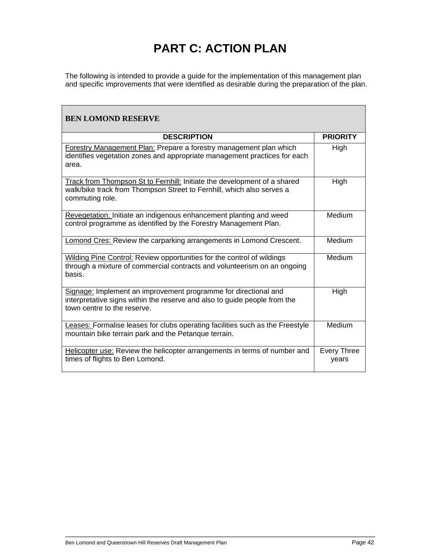# **PART C: ACTION PLAN**

The following is intended to provide a guide for the implementation of this management plan and specific improvements that were identified as desirable during the preparation of the plan.

| <b>BEN LOMOND RESERVE</b>                                                                                                                                                   |                             |
|-----------------------------------------------------------------------------------------------------------------------------------------------------------------------------|-----------------------------|
| <b>DESCRIPTION</b>                                                                                                                                                          | <b>PRIORITY</b>             |
| Forestry Management Plan: Prepare a forestry management plan which<br>identifies vegetation zones and appropriate management practices for each<br>area.                    | High                        |
| Track from Thompson St to Fernhill: Initiate the development of a shared<br>walk/bike track from Thompson Street to Fernhill, which also serves a<br>commuting role.        | High                        |
| Revegetation: Initiate an indigenous enhancement planting and weed<br>control programme as identified by the Forestry Management Plan.                                      | Medium                      |
| <b>Lomond Cres: Review the carparking arrangements in Lomond Crescent.</b>                                                                                                  | Medium                      |
| Wilding Pine Control: Review opportunities for the control of wildings<br>through a mixture of commercial contracts and volunteerism on an ongoing<br>basis.                | Medium                      |
| Signage: Implement an improvement programme for directional and<br>interpretative signs within the reserve and also to guide people from the<br>town centre to the reserve. | High                        |
| Leases: Formalise leases for clubs operating facilities such as the Freestyle<br>mountain bike terrain park and the Petanque terrain.                                       | Medium                      |
| <b>Helicopter use:</b> Review the helicopter arrangements in terms of number and<br>times of flights to Ben Lomond.                                                         | <b>Every Three</b><br>years |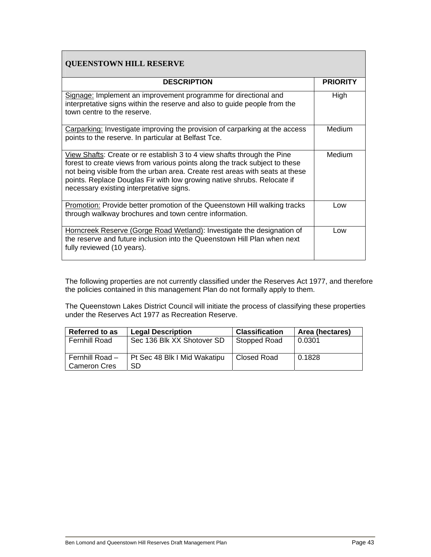| <b>QUEENSTOWN HILL RESERVE</b>                                                                                                                                                                                                                                                                                                                                |                 |
|---------------------------------------------------------------------------------------------------------------------------------------------------------------------------------------------------------------------------------------------------------------------------------------------------------------------------------------------------------------|-----------------|
| <b>DESCRIPTION</b>                                                                                                                                                                                                                                                                                                                                            | <b>PRIORITY</b> |
| Signage: Implement an improvement programme for directional and<br>interpretative signs within the reserve and also to guide people from the<br>town centre to the reserve.                                                                                                                                                                                   | High            |
| Carparking: Investigate improving the provision of carparking at the access<br>points to the reserve. In particular at Belfast Tce.                                                                                                                                                                                                                           | Medium          |
| View Shafts: Create or re establish 3 to 4 view shafts through the Pine<br>forest to create views from various points along the track subject to these<br>not being visible from the urban area. Create rest areas with seats at these<br>points. Replace Douglas Fir with low growing native shrubs. Relocate if<br>necessary existing interpretative signs. | Medium          |
| <b>Promotion:</b> Provide better promotion of the Queenstown Hill walking tracks<br>through walkway brochures and town centre information.                                                                                                                                                                                                                    | Low             |
| Horncreek Reserve (Gorge Road Wetland): Investigate the designation of<br>the reserve and future inclusion into the Queenstown Hill Plan when next<br>fully reviewed (10 years).                                                                                                                                                                              | Low             |

The following properties are not currently classified under the Reserves Act 1977, and therefore the policies contained in this management Plan do not formally apply to them.

The Queenstown Lakes District Council will initiate the process of classifying these properties under the Reserves Act 1977 as Recreation Reserve.

| <b>Referred to as</b> | <b>Legal Description</b>     | <b>Classification</b> | Area (hectares) |
|-----------------------|------------------------------|-----------------------|-----------------|
| Fernhill Road         | Sec 136 Blk XX Shotover SD   | Stopped Road          | 0.0301          |
|                       |                              |                       |                 |
| Fernhill Road -       | Pt Sec 48 Blk I Mid Wakatipu | Closed Road           | 0.1828          |
| Cameron Cres          | SD                           |                       |                 |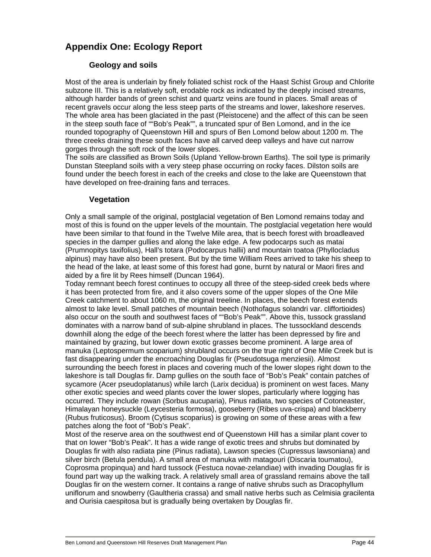## **Appendix One: Ecology Report**

## **Geology and soils**

Most of the area is underlain by finely foliated schist rock of the Haast Schist Group and Chlorite subzone III. This is a relatively soft, erodable rock as indicated by the deeply incised streams, although harder bands of green schist and quartz veins are found in places. Small areas of recent gravels occur along the less steep parts of the streams and lower, lakeshore reserves. The whole area has been glaciated in the past (Pleistocene) and the affect of this can be seen in the steep south face of ""Bob's Peak"", a truncated spur of Ben Lomond, and in the ice rounded topography of Queenstown Hill and spurs of Ben Lomond below about 1200 m. The three creeks draining these south faces have all carved deep valleys and have cut narrow gorges through the soft rock of the lower slopes.

The soils are classified as Brown Soils (Upland Yellow-brown Earths). The soil type is primarily Dunstan Steepland soils with a very steep phase occurring on rocky faces. Dilston soils are found under the beech forest in each of the creeks and close to the lake are Queenstown that have developed on free-draining fans and terraces.

## **Vegetation**

Only a small sample of the original, postglacial vegetation of Ben Lomond remains today and most of this is found on the upper levels of the mountain. The postglacial vegetation here would have been similar to that found in the Twelve Mile area, that is beech forest with broadleaved species in the damper gullies and along the lake edge. A few podocarps such as matai (Prumnopitys taxifolius), Hall's totara (Podocarpus hallii) and mountain toatoa (Phyllocladus alpinus) may have also been present. But by the time William Rees arrived to take his sheep to the head of the lake, at least some of this forest had gone, burnt by natural or Maori fires and aided by a fire lit by Rees himself (Duncan 1964).

Today remnant beech forest continues to occupy all three of the steep-sided creek beds where it has been protected from fire, and it also covers some of the upper slopes of the One Mile Creek catchment to about 1060 m, the original treeline. In places, the beech forest extends almost to lake level. Small patches of mountain beech (Nothofagus solandri var. cliffortioides) also occur on the south and southwest faces of ""Bob's Peak"". Above this, tussock grassland dominates with a narrow band of sub-alpine shrubland in places. The tussockland descends downhill along the edge of the beech forest where the latter has been depressed by fire and maintained by grazing, but lower down exotic grasses become prominent. A large area of manuka (Leptospermum scoparium) shrubland occurs on the true right of One Mile Creek but is fast disappearing under the encroaching Douglas fir (Pseudotsuga menziesii). Almost surrounding the beech forest in places and covering much of the lower slopes right down to the lakeshore is tall Douglas fir. Damp gullies on the south face of "Bob's Peak" contain patches of sycamore (Acer pseudoplatanus) while larch (Larix decidua) is prominent on west faces. Many other exotic species and weed plants cover the lower slopes, particularly where logging has occurred. They include rowan (Sorbus aucuparia), Pinus radiata, two species of Cotoneaster, Himalayan honeysuckle (Leycesteria formosa), gooseberry (Ribes uva-crispa) and blackberry (Rubus fruticosus). Broom (Cytisus scoparius) is growing on some of these areas with a few patches along the foot of "Bob's Peak".

Most of the reserve area on the southwest end of Queenstown Hill has a similar plant cover to that on lower "Bob's Peak". It has a wide range of exotic trees and shrubs but dominated by Douglas fir with also radiata pine (Pinus radiata), Lawson species (Cupressus lawsoniana) and silver birch (Betula pendula). A small area of manuka with matagouri (Discaria toumatou), Coprosma propinqua) and hard tussock (Festuca novae-zelandiae) with invading Douglas fir is found part way up the walking track. A relatively small area of grassland remains above the tall Douglas fir on the western corner. It contains a range of native shrubs such as Dracophyllum uniflorum and snowberry (Gaultheria crassa) and small native herbs such as Celmisia gracilenta and Ourisia caespitosa but is gradually being overtaken by Douglas fir.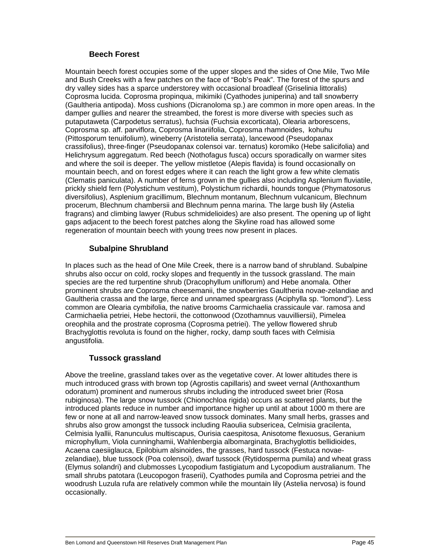## **Beech Forest**

Mountain beech forest occupies some of the upper slopes and the sides of One Mile, Two Mile and Bush Creeks with a few patches on the face of "Bob's Peak". The forest of the spurs and dry valley sides has a sparce understorey with occasional broadleaf (Griselinia littoralis) Coprosma lucida. Coprosma propinqua, mikimiki (Cyathodes juniperina) and tall snowberry (Gaultheria antipoda). Moss cushions (Dicranoloma sp.) are common in more open areas. In the damper gullies and nearer the streambed, the forest is more diverse with species such as putaputaweta (Carpodetus serratus), fuchsia (Fuchsia excorticata), Olearia arborescens, Coprosma sp. aff. parviflora, Coprosma linariifolia, Coprosma rhamnoides, kohuhu (Pittosporum tenuifolium), wineberry (Aristotelia serrata), lancewood (Pseudopanax crassifolius), three-finger (Pseudopanax colensoi var. ternatus) koromiko (Hebe salicifolia) and Helichrysum aggregatum. Red beech (Nothofagus fusca) occurs sporadically on warmer sites and where the soil is deeper. The yellow mistletoe (Alepis flavida) is found occasionally on mountain beech, and on forest edges where it can reach the light grow a few white clematis (Clematis paniculata). A number of ferns grown in the gullies also including Asplenium fluviatile, prickly shield fern (Polystichum vestitum), Polystichum richardii, hounds tongue (Phymatosorus diversifolius), Asplenium gracillimum, Blechnum montanum, Blechnum vulcanicum, Blechnum procerum, Blechnum chambersii and Blechnum penna marina. The large bush lily (Astelia fragrans) and climbing lawyer (Rubus schmidelioides) are also present. The opening up of light gaps adjacent to the beech forest patches along the Skyline road has allowed some regeneration of mountain beech with young trees now present in places.

## **Subalpine Shrubland**

In places such as the head of One Mile Creek, there is a narrow band of shrubland. Subalpine shrubs also occur on cold, rocky slopes and frequently in the tussock grassland. The main species are the red turpentine shrub (Dracophyllum uniflorum) and Hebe anomala. Other prominent shrubs are Coprosma cheesemanii, the snowberries Gaultheria novae-zelandiae and Gaultheria crassa and the large, fierce and unnamed speargrass (Aciphylla sp. "lomond"). Less common are Olearia cymbifolia, the native brooms Carmichaelia crassicaule var. ramosa and Carmichaelia petriei, Hebe hectorii, the cottonwood (Ozothamnus vauvilliersii), Pimelea oreophila and the prostrate coprosma (Coprosma petriei). The yellow flowered shrub Brachyglottis revoluta is found on the higher, rocky, damp south faces with Celmisia angustifolia.

## **Tussock grassland**

Above the treeline, grassland takes over as the vegetative cover. At lower altitudes there is much introduced grass with brown top (Agrostis capillaris) and sweet vernal (Anthoxanthum odoratum) prominent and numerous shrubs including the introduced sweet brier (Rosa rubiginosa). The large snow tussock (Chionochloa rigida) occurs as scattered plants, but the introduced plants reduce in number and importance higher up until at about 1000 m there are few or none at all and narrow-leaved snow tussock dominates. Many small herbs, grasses and shrubs also grow amongst the tussock including Raoulia subsericea, Celmisia gracilenta, Celmisia lyallii, Ranunculus multiscapus, Ourisia caespitosa, Anisotome flexuosus, Geranium microphyllum, Viola cunninghamii, Wahlenbergia albomarginata, Brachyglottis bellidioides, Acaena caesiiglauca, Epilobium alsinoides, the grasses, hard tussock (Festuca novaezelandiae), blue tussock (Poa colensoi), dwarf tussock (Rytidosperma pumila) and wheat grass (Elymus solandri) and clubmosses Lycopodium fastigiatum and Lycopodium australianum. The small shrubs patotara (Leucopogon fraserii), Cyathodes pumila and Coprosma petriei and the woodrush Luzula rufa are relatively common while the mountain lily (Astelia nervosa) is found occasionally.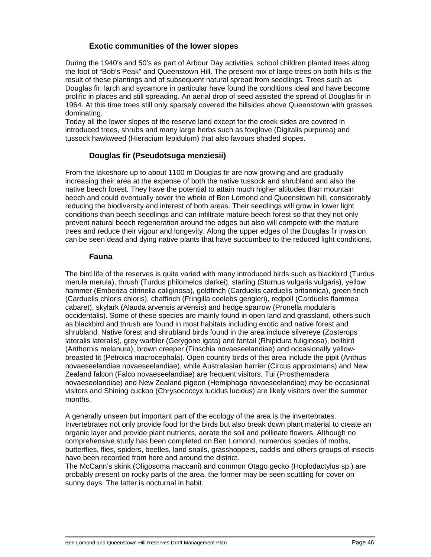## **Exotic communities of the lower slopes**

During the 1940's and 50's as part of Arbour Day activities, school children planted trees along the foot of "Bob's Peak" and Queenstown Hill. The present mix of large trees on both hills is the result of these plantings and of subsequent natural spread from seedlings. Trees such as Douglas fir, larch and sycamore in particular have found the conditions ideal and have become prolific in places and still spreading. An aerial drop of seed assisted the spread of Douglas fir in 1964. At this time trees still only sparsely covered the hillsides above Queenstown with grasses dominating.

Today all the lower slopes of the reserve land except for the creek sides are covered in introduced trees, shrubs and many large herbs such as foxglove (Digitalis purpurea) and tussock hawkweed (Hieracium lepidulum) that also favours shaded slopes.

## **Douglas fir (Pseudotsuga menziesii)**

From the lakeshore up to about 1100 m Douglas fir are now growing and are gradually increasing their area at the expense of both the native tussock and shrubland and also the native beech forest. They have the potential to attain much higher altitudes than mountain beech and could eventually cover the whole of Ben Lomond and Queenstown hill, considerably reducing the biodiversity and interest of both areas. Their seedlings will grow in lower light conditions than beech seedlings and can infiltrate mature beech forest so that they not only prevent natural beech regeneration around the edges but also will compete with the mature trees and reduce their vigour and longevity. Along the upper edges of the Douglas fir invasion can be seen dead and dying native plants that have succumbed to the reduced light conditions.

## **Fauna**

The bird life of the reserves is quite varied with many introduced birds such as blackbird (Turdus merula merula), thrush (Turdus philomelos clarkei), starling (Sturnus vulgaris vulgaris), yellow hammer (Emberiza citrinella caliginosa), goldfinch (Carduelis carduelis britannica), green finch (Carduelis chloris chloris), chaffinch (Fringilla coelebs gengleri), redpoll (Carduelis flammea cabaret), skylark (Alauda arvensis arvensis) and hedge sparrow (Prunella modularis occidentalis). Some of these species are mainly found in open land and grassland, others such as blackbird and thrush are found in most habitats including exotic and native forest and shrubland. Native forest and shrubland birds found in the area include silvereye (Zosterops lateralis lateralis), grey warbler (Gerygone igata) and fantail (Rhipidura fuliginosa), bellbird (Anthornis melanura), brown creeper (Finschia novaeseelandiae) and occasionally yellowbreasted tit (Petroica macrocephala). Open country birds of this area include the pipit (Anthus novaeseelandiae novaeseelandiae), while Australasian harrier (Circus approximans) and New Zealand falcon (Falco novaeseelandiae) are frequent visitors. Tui (Prosthemadera novaeseelandiae) and New Zealand pigeon (Hemiphaga novaeseelandiae) may be occasional visitors and Shining cuckoo (Chrysococcyx lucidus lucidus) are likely visitors over the summer months.

A generally unseen but important part of the ecology of the area is the invertebrates. Invertebrates not only provide food for the birds but also break down plant material to create an organic layer and provide plant nutrients, aerate the soil and pollinate flowers. Although no comprehensive study has been completed on Ben Lomond, numerous species of moths, butterflies, flies, spiders, beetles, land snails, grasshoppers, caddis and others groups of insects have been recorded from here and around the district.

The McCann's skink (Oligosoma maccani) and common Otago gecko (Hoplodactylus sp.) are probably present on rocky parts of the area, the former may be seen scuttling for cover on sunny days. The latter is nocturnal in habit.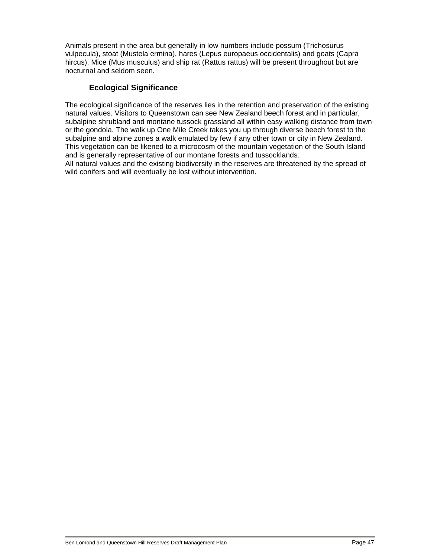Animals present in the area but generally in low numbers include possum (Trichosurus vulpecula), stoat (Mustela ermina), hares (Lepus europaeus occidentalis) and goats (Capra hircus). Mice (Mus musculus) and ship rat (Rattus rattus) will be present throughout but are nocturnal and seldom seen.

## **Ecological Significance**

The ecological significance of the reserves lies in the retention and preservation of the existing natural values. Visitors to Queenstown can see New Zealand beech forest and in particular, subalpine shrubland and montane tussock grassland all within easy walking distance from town or the gondola. The walk up One Mile Creek takes you up through diverse beech forest to the subalpine and alpine zones a walk emulated by few if any other town or city in New Zealand. This vegetation can be likened to a microcosm of the mountain vegetation of the South Island and is generally representative of our montane forests and tussocklands.

All natural values and the existing biodiversity in the reserves are threatened by the spread of wild conifers and will eventually be lost without intervention.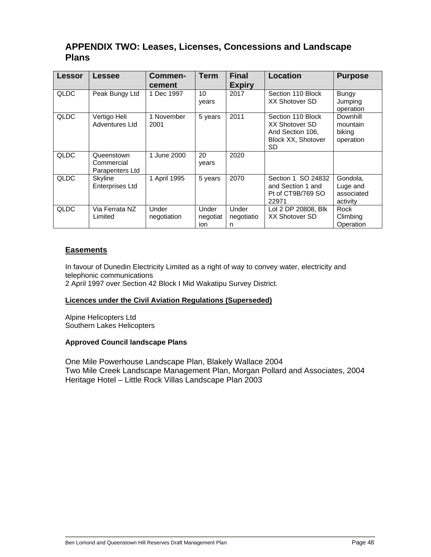## **APPENDIX TWO: Leases, Licenses, Concessions and Landscape Plans**

| Lessor      | Lessee                                      | Commen-<br>cement    | <b>Term</b>              | <b>Final</b><br><b>Expiry</b> | Location                                                                            | <b>Purpose</b>                                 |
|-------------|---------------------------------------------|----------------------|--------------------------|-------------------------------|-------------------------------------------------------------------------------------|------------------------------------------------|
| <b>QLDC</b> | Peak Bungy Ltd                              | 1 Dec 1997           | 10<br>years              | 2017                          | Section 110 Block<br>XX Shotover SD                                                 | Bungy<br>Jumping<br>operation                  |
| <b>QLDC</b> | Vertigo Heli<br>Adventures Ltd              | 1 November<br>2001   | 5 years                  | 2011                          | Section 110 Block<br>XX Shotover SD<br>And Section 106,<br>Block XX, Shotover<br>SD | Downhill<br>mountain<br>biking<br>operation    |
| <b>QLDC</b> | Queenstown<br>Commercial<br>Parapenters Ltd | 1 June 2000          | 20<br>years              | 2020                          |                                                                                     |                                                |
| <b>QLDC</b> | Skyline<br><b>Enterprises Ltd</b>           | 1 April 1995         | 5 years                  | 2070                          | Section 1 SO 24832<br>and Section 1 and<br>Pt of CT9B/769 SO<br>22971               | Gondola,<br>Luge and<br>associated<br>activity |
| <b>QLDC</b> | Via Ferrata NZ<br>Limited                   | Under<br>negotiation | Under<br>negotiat<br>ion | Under<br>negotiatio<br>n      | Lot 2 DP 20808, Blk<br><b>XX Shotover SD</b>                                        | Rock<br>Climbing<br>Operation                  |

## **Easements**

In favour of Dunedin Electricity Limited as a right of way to convey water, electricity and telephonic communications 2 April 1997 over Section 42 Block I Mid Wakatipu Survey District.

#### **Licences under the Civil Aviation Regulations (Superseded)**

Alpine Helicopters Ltd Southern Lakes Helicopters

#### **Approved Council landscape Plans**

One Mile Powerhouse Landscape Plan, Blakely Wallace 2004 Two Mile Creek Landscape Management Plan, Morgan Pollard and Associates, 2004 Heritage Hotel – Little Rock Villas Landscape Plan 2003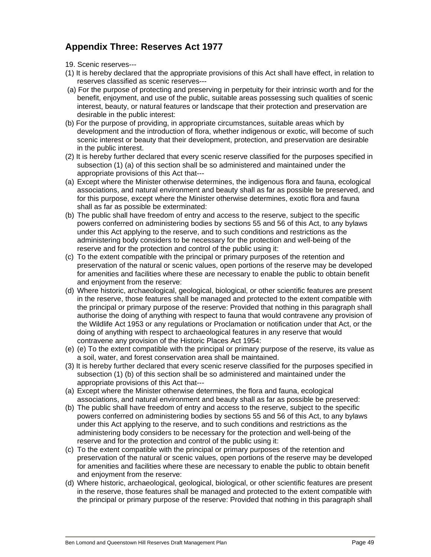## **Appendix Three: Reserves Act 1977**

- 19. Scenic reserves---
- (1) It is hereby declared that the appropriate provisions of this Act shall have effect, in relation to reserves classified as scenic reserves---
- (a) For the purpose of protecting and preserving in perpetuity for their intrinsic worth and for the benefit, enjoyment, and use of the public, suitable areas possessing such qualities of scenic interest, beauty, or natural features or landscape that their protection and preservation are desirable in the public interest:
- (b) For the purpose of providing, in appropriate circumstances, suitable areas which by development and the introduction of flora, whether indigenous or exotic, will become of such scenic interest or beauty that their development, protection, and preservation are desirable in the public interest.
- (2) It is hereby further declared that every scenic reserve classified for the purposes specified in subsection (1) (a) of this section shall be so administered and maintained under the appropriate provisions of this Act that---
- (a) Except where the Minister otherwise determines, the indigenous flora and fauna, ecological associations, and natural environment and beauty shall as far as possible be preserved, and for this purpose, except where the Minister otherwise determines, exotic flora and fauna shall as far as possible be exterminated:
- (b) The public shall have freedom of entry and access to the reserve, subject to the specific powers conferred on administering bodies by sections 55 and 56 of this Act, to any bylaws under this Act applying to the reserve, and to such conditions and restrictions as the administering body considers to be necessary for the protection and well-being of the reserve and for the protection and control of the public using it:
- (c) To the extent compatible with the principal or primary purposes of the retention and preservation of the natural or scenic values, open portions of the reserve may be developed for amenities and facilities where these are necessary to enable the public to obtain benefit and enjoyment from the reserve:
- (d) Where historic, archaeological, geological, biological, or other scientific features are present in the reserve, those features shall be managed and protected to the extent compatible with the principal or primary purpose of the reserve: Provided that nothing in this paragraph shall authorise the doing of anything with respect to fauna that would contravene any provision of the Wildlife Act 1953 or any regulations or Proclamation or notification under that Act, or the doing of anything with respect to archaeological features in any reserve that would contravene any provision of the Historic Places Act 1954:
- (e) (e) To the extent compatible with the principal or primary purpose of the reserve, its value as a soil, water, and forest conservation area shall be maintained.
- (3) It is hereby further declared that every scenic reserve classified for the purposes specified in subsection (1) (b) of this section shall be so administered and maintained under the appropriate provisions of this Act that---
- (a) Except where the Minister otherwise determines, the flora and fauna, ecological associations, and natural environment and beauty shall as far as possible be preserved:
- (b) The public shall have freedom of entry and access to the reserve, subject to the specific powers conferred on administering bodies by sections 55 and 56 of this Act, to any bylaws under this Act applying to the reserve, and to such conditions and restrictions as the administering body considers to be necessary for the protection and well-being of the reserve and for the protection and control of the public using it:
- (c) To the extent compatible with the principal or primary purposes of the retention and preservation of the natural or scenic values, open portions of the reserve may be developed for amenities and facilities where these are necessary to enable the public to obtain benefit and enjoyment from the reserve:
- (d) Where historic, archaeological, geological, biological, or other scientific features are present in the reserve, those features shall be managed and protected to the extent compatible with the principal or primary purpose of the reserve: Provided that nothing in this paragraph shall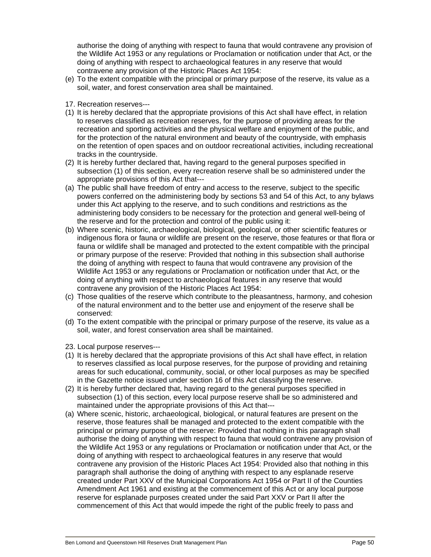authorise the doing of anything with respect to fauna that would contravene any provision of the Wildlife Act 1953 or any regulations or Proclamation or notification under that Act, or the doing of anything with respect to archaeological features in any reserve that would contravene any provision of the Historic Places Act 1954:

- (e) To the extent compatible with the principal or primary purpose of the reserve, its value as a soil, water, and forest conservation area shall be maintained.
- 17. Recreation reserves---
- (1) It is hereby declared that the appropriate provisions of this Act shall have effect, in relation to reserves classified as recreation reserves, for the purpose of providing areas for the recreation and sporting activities and the physical welfare and enjoyment of the public, and for the protection of the natural environment and beauty of the countryside, with emphasis on the retention of open spaces and on outdoor recreational activities, including recreational tracks in the countryside.
- (2) It is hereby further declared that, having regard to the general purposes specified in subsection (1) of this section, every recreation reserve shall be so administered under the appropriate provisions of this Act that---
- (a) The public shall have freedom of entry and access to the reserve, subject to the specific powers conferred on the administering body by sections 53 and 54 of this Act, to any bylaws under this Act applying to the reserve, and to such conditions and restrictions as the administering body considers to be necessary for the protection and general well-being of the reserve and for the protection and control of the public using it:
- (b) Where scenic, historic, archaeological, biological, geological, or other scientific features or indigenous flora or fauna or wildlife are present on the reserve, those features or that flora or fauna or wildlife shall be managed and protected to the extent compatible with the principal or primary purpose of the reserve: Provided that nothing in this subsection shall authorise the doing of anything with respect to fauna that would contravene any provision of the Wildlife Act 1953 or any regulations or Proclamation or notification under that Act, or the doing of anything with respect to archaeological features in any reserve that would contravene any provision of the Historic Places Act 1954:
- (c) Those qualities of the reserve which contribute to the pleasantness, harmony, and cohesion of the natural environment and to the better use and enjoyment of the reserve shall be conserved:
- (d) To the extent compatible with the principal or primary purpose of the reserve, its value as a soil, water, and forest conservation area shall be maintained.
- 23. Local purpose reserves---
- (1) It is hereby declared that the appropriate provisions of this Act shall have effect, in relation to reserves classified as local purpose reserves, for the purpose of providing and retaining areas for such educational, community, social, or other local purposes as may be specified in the Gazette notice issued under section 16 of this Act classifying the reserve.
- (2) It is hereby further declared that, having regard to the general purposes specified in subsection (1) of this section, every local purpose reserve shall be so administered and maintained under the appropriate provisions of this Act that---
- (a) Where scenic, historic, archaeological, biological, or natural features are present on the reserve, those features shall be managed and protected to the extent compatible with the principal or primary purpose of the reserve: Provided that nothing in this paragraph shall authorise the doing of anything with respect to fauna that would contravene any provision of the Wildlife Act 1953 or any regulations or Proclamation or notification under that Act, or the doing of anything with respect to archaeological features in any reserve that would contravene any provision of the Historic Places Act 1954: Provided also that nothing in this paragraph shall authorise the doing of anything with respect to any esplanade reserve created under Part XXV of the Municipal Corporations Act 1954 or Part II of the Counties Amendment Act 1961 and existing at the commencement of this Act or any local purpose reserve for esplanade purposes created under the said Part XXV or Part II after the commencement of this Act that would impede the right of the public freely to pass and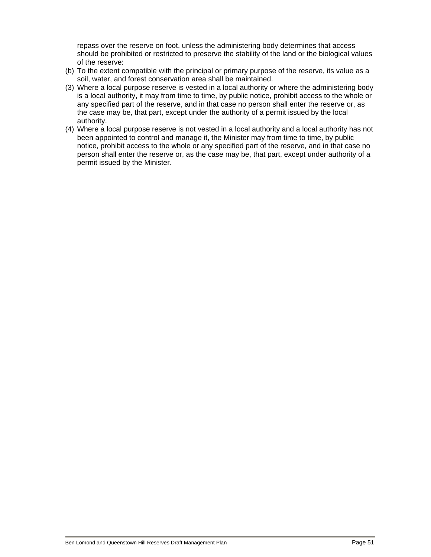repass over the reserve on foot, unless the administering body determines that access should be prohibited or restricted to preserve the stability of the land or the biological values of the reserve:

- (b) To the extent compatible with the principal or primary purpose of the reserve, its value as a soil, water, and forest conservation area shall be maintained.
- (3) Where a local purpose reserve is vested in a local authority or where the administering body is a local authority, it may from time to time, by public notice, prohibit access to the whole or any specified part of the reserve, and in that case no person shall enter the reserve or, as the case may be, that part, except under the authority of a permit issued by the local authority.
- (4) Where a local purpose reserve is not vested in a local authority and a local authority has not been appointed to control and manage it, the Minister may from time to time, by public notice, prohibit access to the whole or any specified part of the reserve, and in that case no person shall enter the reserve or, as the case may be, that part, except under authority of a permit issued by the Minister.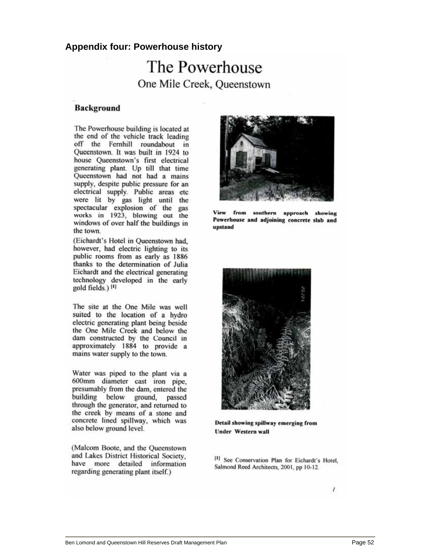## **Appendix four: Powerhouse history**

# The Powerhouse One Mile Creek, Queenstown

#### **Background**

The Powerhouse building is located at the end of the vehicle track leading off the Fernhill roundabout in Oueenstown. It was built in 1924 to house Queenstown's first electrical generating plant. Up till that time Queenstown had not had a mains supply, despite public pressure for an electrical supply. Public areas etc were lit by gas light until the spectacular explosion of the gas<br>works in 1923, blowing out the windows of over half the buildings in the town.

(Eichardt's Hotel in Queenstown had, however, had electric lighting to its public rooms from as early as 1886 thanks to the determination of Julia Eichardt and the electrical generating technology developed in the early gold fields.) [1]

The site at the One Mile was well suited to the location of a hydro electric generating plant being beside the One Mile Creek and below the dam constructed by the Council in approximately 1884 to provide a mains water supply to the town.

Water was piped to the plant via a 600mm diameter cast iron pipe, presumably from the dam, entered the building below ground, passed through the generator, and returned to the creek by means of a stone and concrete lined spillway, which was also below ground level.

(Malcom Boote, and the Queenstown and Lakes District Historical Society, have more detailed information regarding generating plant itself.)



View from southern approach showing Powerhouse and adjoining concrete slab and upstand



Detail showing spillway emerging from Under Western wall

[1] See Conservation Plan for Eichardt's Hotel, Salmond Reed Architects, 2001, pp 10-12.